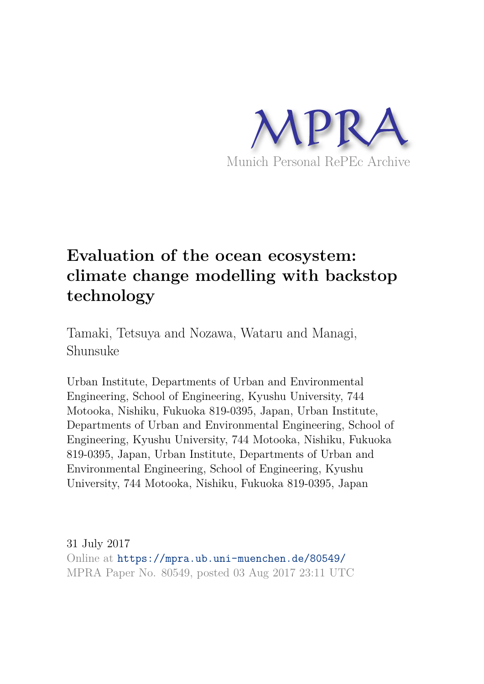

## **Evaluation of the ocean ecosystem: climate change modelling with backstop technology**

Tamaki, Tetsuya and Nozawa, Wataru and Managi, Shunsuke

Urban Institute, Departments of Urban and Environmental Engineering, School of Engineering, Kyushu University, 744 Motooka, Nishiku, Fukuoka 819-0395, Japan, Urban Institute, Departments of Urban and Environmental Engineering, School of Engineering, Kyushu University, 744 Motooka, Nishiku, Fukuoka 819-0395, Japan, Urban Institute, Departments of Urban and Environmental Engineering, School of Engineering, Kyushu University, 744 Motooka, Nishiku, Fukuoka 819-0395, Japan

31 July 2017 Online at https://mpra.ub.uni-muenchen.de/80549/ MPRA Paper No. 80549, posted 03 Aug 2017 23:11 UTC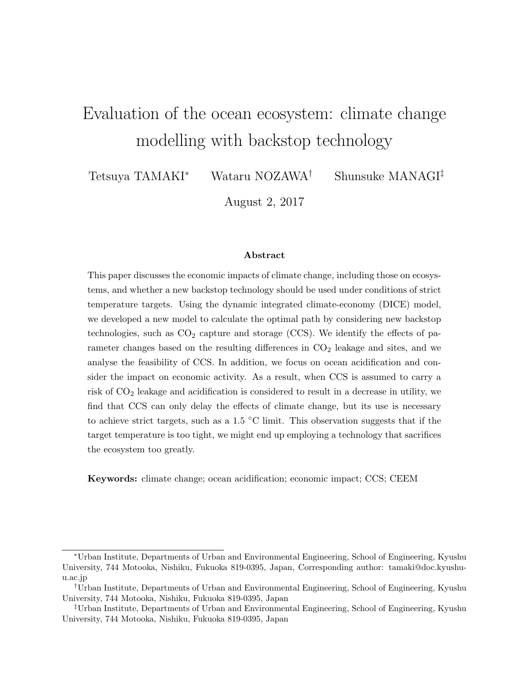# Evaluation of the ocean ecosystem: climate change modelling with backstop technology

Tetsuya TAMAKI<sup>∗</sup> Wataru NOZAWA† Shunsuke MANAGI‡

August 2, 2017

#### Abstract

This paper discusses the economic impacts of climate change, including those on ecosystems, and whether a new backstop technology should be used under conditions of strict temperature targets. Using the dynamic integrated climate-economy (DICE) model, we developed a new model to calculate the optimal path by considering new backstop technologies, such as  $CO<sub>2</sub>$  capture and storage (CCS). We identify the effects of parameter changes based on the resulting differences in  $CO<sub>2</sub>$  leakage and sites, and we analyse the feasibility of CCS. In addition, we focus on ocean acidification and consider the impact on economic activity. As a result, when CCS is assumed to carry a risk of  $CO<sub>2</sub>$  leakage and acidification is considered to result in a decrease in utility, we find that CCS can only delay the effects of climate change, but its use is necessary to achieve strict targets, such as a 1.5 ◦C limit. This observation suggests that if the target temperature is too tight, we might end up employing a technology that sacrifices the ecosystem too greatly.

Keywords: climate change; ocean acidification; economic impact; CCS; CEEM

<sup>∗</sup>Urban Institute, Departments of Urban and Environmental Engineering, School of Engineering, Kyushu University, 744 Motooka, Nishiku, Fukuoka 819-0395, Japan, Corresponding author: tamaki@doc.kyushuu.ac.jp

<sup>†</sup>Urban Institute, Departments of Urban and Environmental Engineering, School of Engineering, Kyushu University, 744 Motooka, Nishiku, Fukuoka 819-0395, Japan

<sup>‡</sup>Urban Institute, Departments of Urban and Environmental Engineering, School of Engineering, Kyushu University, 744 Motooka, Nishiku, Fukuoka 819-0395, Japan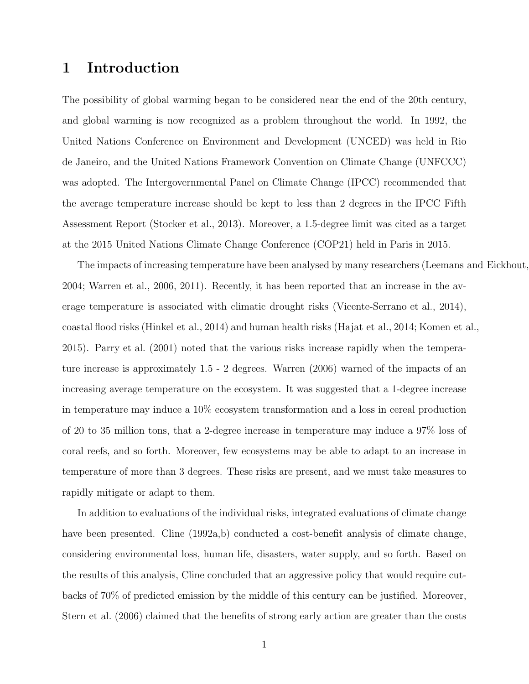### 1 Introduction

The possibility of global warming began to be considered near the end of the 20th century, and global warming is now recognized as a problem throughout the world. In 1992, the United Nations Conference on Environment and Development (UNCED) was held in Rio de Janeiro, and the United Nations Framework Convention on Climate Change (UNFCCC) was adopted. The Intergovernmental Panel on Climate Change (IPCC) recommended that the average temperature increase should be kept to less than 2 degrees in the IPCC Fifth Assessment Report (Stocker et al., 2013). Moreover, a 1.5-degree limit was cited as a target at the 2015 United Nations Climate Change Conference (COP21) held in Paris in 2015.

The impacts of increasing temperature have been analysed by many researchers (Leemans and Eickhout, 2004; Warren et al., 2006, 2011). Recently, it has been reported that an increase in the average temperature is associated with climatic drought risks (Vicente-Serrano et al., 2014), coastal flood risks (Hinkel et al., 2014) and human health risks (Hajat et al., 2014; Komen et al., 2015). Parry et al. (2001) noted that the various risks increase rapidly when the temperature increase is approximately 1.5 - 2 degrees. Warren (2006) warned of the impacts of an increasing average temperature on the ecosystem. It was suggested that a 1-degree increase in temperature may induce a 10% ecosystem transformation and a loss in cereal production of 20 to 35 million tons, that a 2-degree increase in temperature may induce a 97% loss of coral reefs, and so forth. Moreover, few ecosystems may be able to adapt to an increase in temperature of more than 3 degrees. These risks are present, and we must take measures to rapidly mitigate or adapt to them.

In addition to evaluations of the individual risks, integrated evaluations of climate change have been presented. Cline (1992a,b) conducted a cost-benefit analysis of climate change, considering environmental loss, human life, disasters, water supply, and so forth. Based on the results of this analysis, Cline concluded that an aggressive policy that would require cutbacks of 70% of predicted emission by the middle of this century can be justified. Moreover, Stern et al. (2006) claimed that the benefits of strong early action are greater than the costs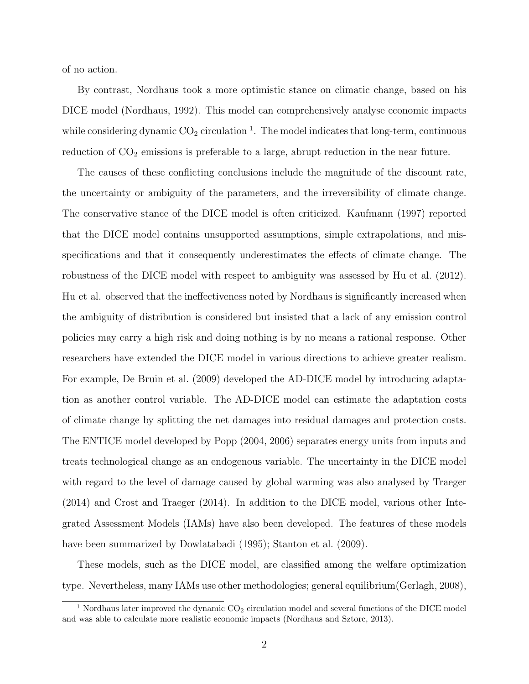of no action.

By contrast, Nordhaus took a more optimistic stance on climatic change, based on his DICE model (Nordhaus, 1992). This model can comprehensively analyse economic impacts while considering dynamic  $CO_2$  circulation<sup>1</sup>. The model indicates that long-term, continuous reduction of  $CO<sub>2</sub>$  emissions is preferable to a large, abrupt reduction in the near future.

The causes of these conflicting conclusions include the magnitude of the discount rate, the uncertainty or ambiguity of the parameters, and the irreversibility of climate change. The conservative stance of the DICE model is often criticized. Kaufmann (1997) reported that the DICE model contains unsupported assumptions, simple extrapolations, and misspecifications and that it consequently underestimates the effects of climate change. The robustness of the DICE model with respect to ambiguity was assessed by Hu et al. (2012). Hu et al. observed that the ineffectiveness noted by Nordhaus is significantly increased when the ambiguity of distribution is considered but insisted that a lack of any emission control policies may carry a high risk and doing nothing is by no means a rational response. Other researchers have extended the DICE model in various directions to achieve greater realism. For example, De Bruin et al. (2009) developed the AD-DICE model by introducing adaptation as another control variable. The AD-DICE model can estimate the adaptation costs of climate change by splitting the net damages into residual damages and protection costs. The ENTICE model developed by Popp (2004, 2006) separates energy units from inputs and treats technological change as an endogenous variable. The uncertainty in the DICE model with regard to the level of damage caused by global warming was also analysed by Traeger (2014) and Crost and Traeger (2014). In addition to the DICE model, various other Integrated Assessment Models (IAMs) have also been developed. The features of these models have been summarized by Dowlatabadi (1995); Stanton et al. (2009).

These models, such as the DICE model, are classified among the welfare optimization type. Nevertheless, many IAMs use other methodologies; general equilibrium(Gerlagh, 2008),

<sup>&</sup>lt;sup>1</sup> Nordhaus later improved the dynamic  $CO<sub>2</sub>$  circulation model and several functions of the DICE model and was able to calculate more realistic economic impacts (Nordhaus and Sztorc, 2013).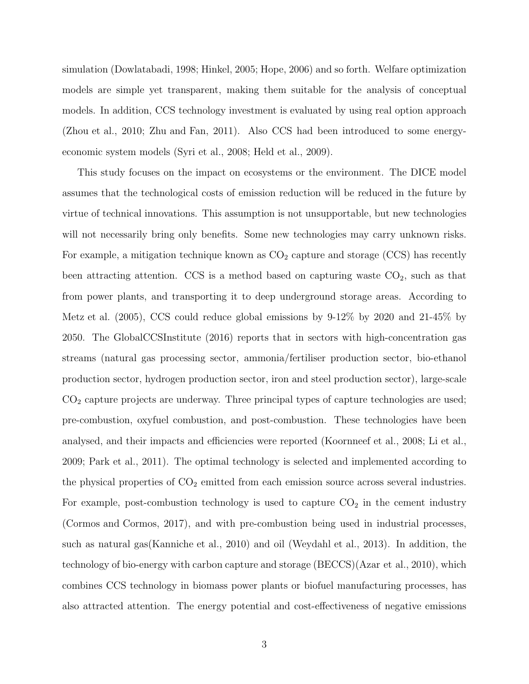simulation (Dowlatabadi, 1998; Hinkel, 2005; Hope, 2006) and so forth. Welfare optimization models are simple yet transparent, making them suitable for the analysis of conceptual models. In addition, CCS technology investment is evaluated by using real option approach (Zhou et al., 2010; Zhu and Fan, 2011). Also CCS had been introduced to some energyeconomic system models (Syri et al., 2008; Held et al., 2009).

This study focuses on the impact on ecosystems or the environment. The DICE model assumes that the technological costs of emission reduction will be reduced in the future by virtue of technical innovations. This assumption is not unsupportable, but new technologies will not necessarily bring only benefits. Some new technologies may carry unknown risks. For example, a mitigation technique known as  $CO<sub>2</sub>$  capture and storage (CCS) has recently been attracting attention. CCS is a method based on capturing waste  $CO<sub>2</sub>$ , such as that from power plants, and transporting it to deep underground storage areas. According to Metz et al. (2005), CCS could reduce global emissions by 9-12% by 2020 and 21-45% by 2050. The GlobalCCSInstitute (2016) reports that in sectors with high-concentration gas streams (natural gas processing sector, ammonia/fertiliser production sector, bio-ethanol production sector, hydrogen production sector, iron and steel production sector), large-scale  $CO<sub>2</sub>$  capture projects are underway. Three principal types of capture technologies are used; pre-combustion, oxyfuel combustion, and post-combustion. These technologies have been analysed, and their impacts and efficiencies were reported (Koornneef et al., 2008; Li et al., 2009; Park et al., 2011). The optimal technology is selected and implemented according to the physical properties of  $CO<sub>2</sub>$  emitted from each emission source across several industries. For example, post-combustion technology is used to capture  $CO<sub>2</sub>$  in the cement industry (Cormos and Cormos, 2017), and with pre-combustion being used in industrial processes, such as natural gas(Kanniche et al., 2010) and oil (Weydahl et al., 2013). In addition, the technology of bio-energy with carbon capture and storage (BECCS)(Azar et al., 2010), which combines CCS technology in biomass power plants or biofuel manufacturing processes, has also attracted attention. The energy potential and cost-effectiveness of negative emissions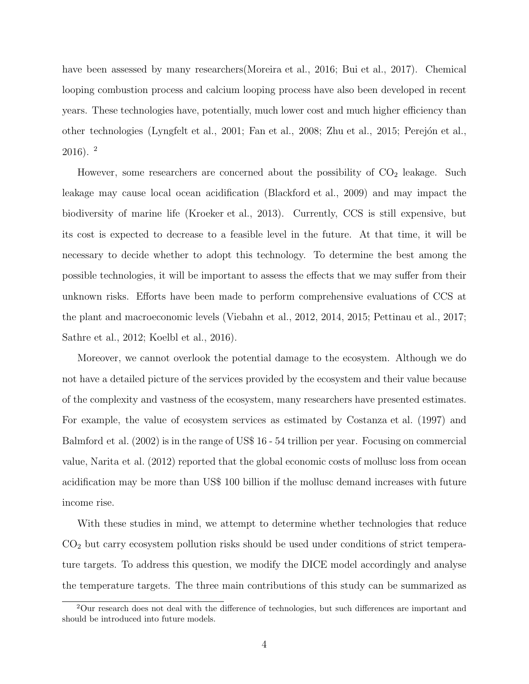have been assessed by many researchers(Moreira et al., 2016; Bui et al., 2017). Chemical looping combustion process and calcium looping process have also been developed in recent years. These technologies have, potentially, much lower cost and much higher efficiency than other technologies (Lyngfelt et al., 2001; Fan et al., 2008; Zhu et al., 2015; Perejón et al.,  $2016$ ).  $^2$ 

However, some researchers are concerned about the possibility of  $CO<sub>2</sub>$  leakage. Such leakage may cause local ocean acidification (Blackford et al., 2009) and may impact the biodiversity of marine life (Kroeker et al., 2013). Currently, CCS is still expensive, but its cost is expected to decrease to a feasible level in the future. At that time, it will be necessary to decide whether to adopt this technology. To determine the best among the possible technologies, it will be important to assess the effects that we may suffer from their unknown risks. Efforts have been made to perform comprehensive evaluations of CCS at the plant and macroeconomic levels (Viebahn et al., 2012, 2014, 2015; Pettinau et al., 2017; Sathre et al., 2012; Koelbl et al., 2016).

Moreover, we cannot overlook the potential damage to the ecosystem. Although we do not have a detailed picture of the services provided by the ecosystem and their value because of the complexity and vastness of the ecosystem, many researchers have presented estimates. For example, the value of ecosystem services as estimated by Costanza et al. (1997) and Balmford et al. (2002) is in the range of US\$ 16 - 54 trillion per year. Focusing on commercial value, Narita et al. (2012) reported that the global economic costs of mollusc loss from ocean acidification may be more than US\$ 100 billion if the mollusc demand increases with future income rise.

With these studies in mind, we attempt to determine whether technologies that reduce  $CO<sub>2</sub>$  but carry ecosystem pollution risks should be used under conditions of strict temperature targets. To address this question, we modify the DICE model accordingly and analyse the temperature targets. The three main contributions of this study can be summarized as

<sup>2</sup>Our research does not deal with the difference of technologies, but such differences are important and should be introduced into future models.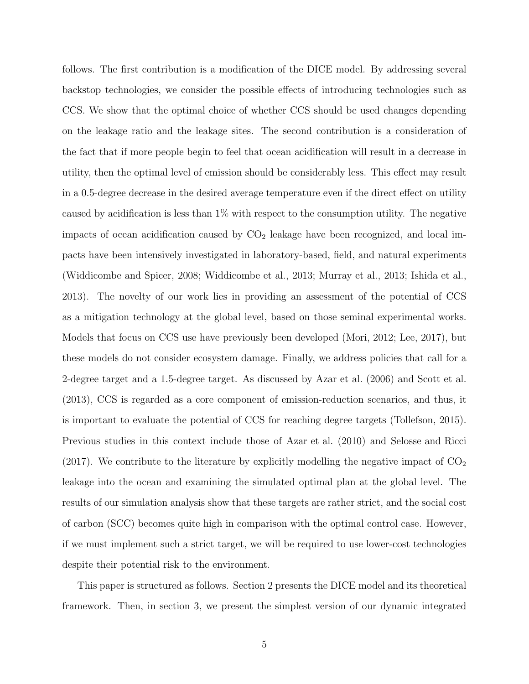follows. The first contribution is a modification of the DICE model. By addressing several backstop technologies, we consider the possible effects of introducing technologies such as CCS. We show that the optimal choice of whether CCS should be used changes depending on the leakage ratio and the leakage sites. The second contribution is a consideration of the fact that if more people begin to feel that ocean acidification will result in a decrease in utility, then the optimal level of emission should be considerably less. This effect may result in a 0.5-degree decrease in the desired average temperature even if the direct effect on utility caused by acidification is less than 1% with respect to the consumption utility. The negative impacts of ocean acidification caused by  $CO<sub>2</sub>$  leakage have been recognized, and local impacts have been intensively investigated in laboratory-based, field, and natural experiments (Widdicombe and Spicer, 2008; Widdicombe et al., 2013; Murray et al., 2013; Ishida et al., 2013). The novelty of our work lies in providing an assessment of the potential of CCS as a mitigation technology at the global level, based on those seminal experimental works. Models that focus on CCS use have previously been developed (Mori, 2012; Lee, 2017), but these models do not consider ecosystem damage. Finally, we address policies that call for a 2-degree target and a 1.5-degree target. As discussed by Azar et al. (2006) and Scott et al. (2013), CCS is regarded as a core component of emission-reduction scenarios, and thus, it is important to evaluate the potential of CCS for reaching degree targets (Tollefson, 2015). Previous studies in this context include those of Azar et al. (2010) and Selosse and Ricci (2017). We contribute to the literature by explicitly modelling the negative impact of  $CO<sub>2</sub>$ leakage into the ocean and examining the simulated optimal plan at the global level. The results of our simulation analysis show that these targets are rather strict, and the social cost of carbon (SCC) becomes quite high in comparison with the optimal control case. However, if we must implement such a strict target, we will be required to use lower-cost technologies despite their potential risk to the environment.

This paper is structured as follows. Section 2 presents the DICE model and its theoretical framework. Then, in section 3, we present the simplest version of our dynamic integrated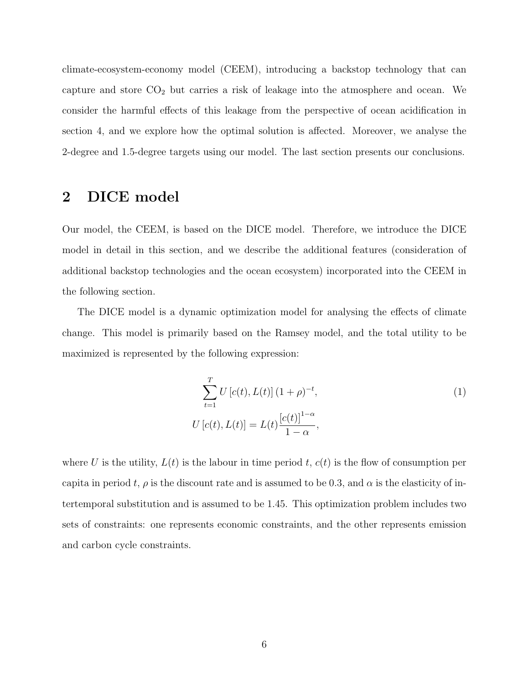climate-ecosystem-economy model (CEEM), introducing a backstop technology that can capture and store CO<sup>2</sup> but carries a risk of leakage into the atmosphere and ocean. We consider the harmful effects of this leakage from the perspective of ocean acidification in section 4, and we explore how the optimal solution is affected. Moreover, we analyse the 2-degree and 1.5-degree targets using our model. The last section presents our conclusions.

### 2 DICE model

Our model, the CEEM, is based on the DICE model. Therefore, we introduce the DICE model in detail in this section, and we describe the additional features (consideration of additional backstop technologies and the ocean ecosystem) incorporated into the CEEM in the following section.

The DICE model is a dynamic optimization model for analysing the effects of climate change. This model is primarily based on the Ramsey model, and the total utility to be maximized is represented by the following expression:

$$
\sum_{t=1}^{T} U[c(t), L(t)] (1+\rho)^{-t},
$$
  
\n
$$
U[c(t), L(t)] = L(t) \frac{[c(t)]^{1-\alpha}}{1-\alpha},
$$
\n(1)

where U is the utility,  $L(t)$  is the labour in time period t,  $c(t)$  is the flow of consumption per capita in period t,  $\rho$  is the discount rate and is assumed to be 0.3, and  $\alpha$  is the elasticity of intertemporal substitution and is assumed to be 1.45. This optimization problem includes two sets of constraints: one represents economic constraints, and the other represents emission and carbon cycle constraints.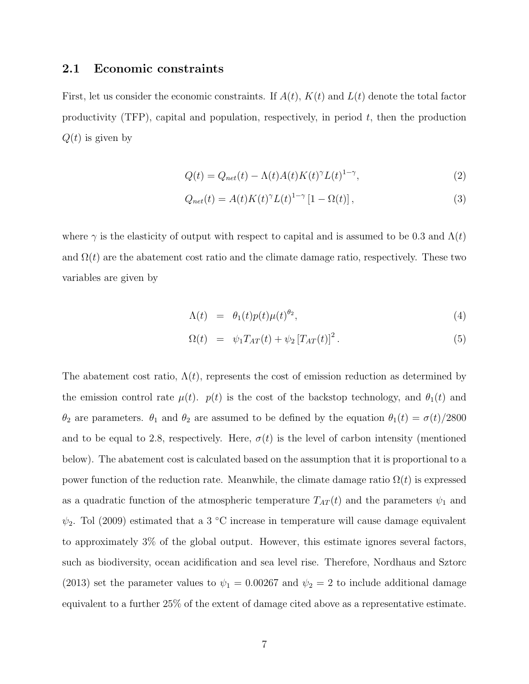#### 2.1 Economic constraints

First, let us consider the economic constraints. If  $A(t)$ ,  $K(t)$  and  $L(t)$  denote the total factor productivity  $(TFP)$ , capital and population, respectively, in period t, then the production  $Q(t)$  is given by

$$
Q(t) = Q_{net}(t) - \Lambda(t)A(t)K(t)^{\gamma}L(t)^{1-\gamma},
$$
\n(2)

$$
Q_{net}(t) = A(t)K(t)^{\gamma}L(t)^{1-\gamma}\left[1 - \Omega(t)\right],\tag{3}
$$

where  $\gamma$  is the elasticity of output with respect to capital and is assumed to be 0.3 and  $\Lambda(t)$ and  $\Omega(t)$  are the abatement cost ratio and the climate damage ratio, respectively. These two variables are given by

$$
\Lambda(t) = \theta_1(t) p(t) \mu(t)^{\theta_2}, \tag{4}
$$

$$
\Omega(t) = \psi_1 T_{AT}(t) + \psi_2 [T_{AT}(t)]^2.
$$
\n(5)

The abatement cost ratio,  $\Lambda(t)$ , represents the cost of emission reduction as determined by the emission control rate  $\mu(t)$ .  $p(t)$  is the cost of the backstop technology, and  $\theta_1(t)$  and  $θ_2$  are parameters.  $θ_1$  and  $θ_2$  are assumed to be defined by the equation  $θ_1(t) = σ(t)/2800$ and to be equal to 2.8, respectively. Here,  $\sigma(t)$  is the level of carbon intensity (mentioned below). The abatement cost is calculated based on the assumption that it is proportional to a power function of the reduction rate. Meanwhile, the climate damage ratio  $\Omega(t)$  is expressed as a quadratic function of the atmospheric temperature  $T_{AT}(t)$  and the parameters  $\psi_1$  and  $\psi_2$ . Tol (2009) estimated that a 3 °C increase in temperature will cause damage equivalent to approximately 3% of the global output. However, this estimate ignores several factors, such as biodiversity, ocean acidification and sea level rise. Therefore, Nordhaus and Sztorc (2013) set the parameter values to  $\psi_1 = 0.00267$  and  $\psi_2 = 2$  to include additional damage equivalent to a further 25% of the extent of damage cited above as a representative estimate.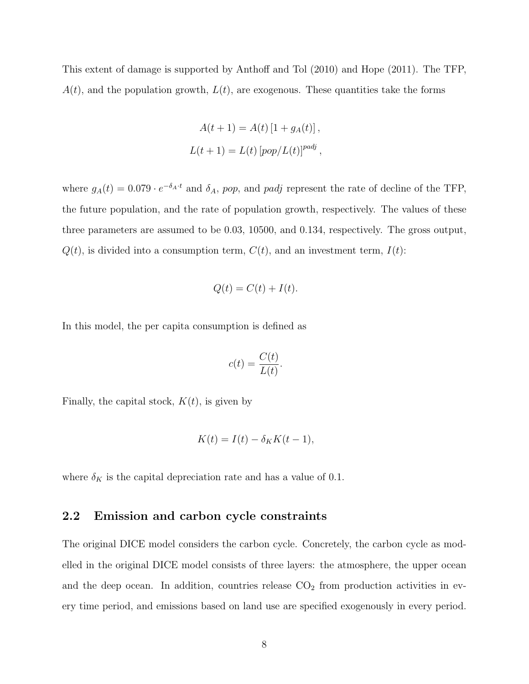This extent of damage is supported by Anthoff and Tol (2010) and Hope (2011). The TFP,  $A(t)$ , and the population growth,  $L(t)$ , are exogenous. These quantities take the forms

$$
A(t + 1) = A(t) [1 + gA(t)],
$$
  

$$
L(t + 1) = L(t) [pop/L(t)]^{padj},
$$

where  $g_A(t) = 0.079 \cdot e^{-\delta_A \cdot t}$  and  $\delta_A$ , pop, and padj represent the rate of decline of the TFP, the future population, and the rate of population growth, respectively. The values of these three parameters are assumed to be 0.03, 10500, and 0.134, respectively. The gross output,  $Q(t)$ , is divided into a consumption term,  $C(t)$ , and an investment term,  $I(t)$ :

$$
Q(t) = C(t) + I(t).
$$

In this model, the per capita consumption is defined as

$$
c(t) = \frac{C(t)}{L(t)}.
$$

Finally, the capital stock,  $K(t)$ , is given by

$$
K(t) = I(t) - \delta_K K(t-1),
$$

where  $\delta_K$  is the capital depreciation rate and has a value of 0.1.

#### 2.2 Emission and carbon cycle constraints

The original DICE model considers the carbon cycle. Concretely, the carbon cycle as modelled in the original DICE model consists of three layers: the atmosphere, the upper ocean and the deep ocean. In addition, countries release  $CO<sub>2</sub>$  from production activities in every time period, and emissions based on land use are specified exogenously in every period.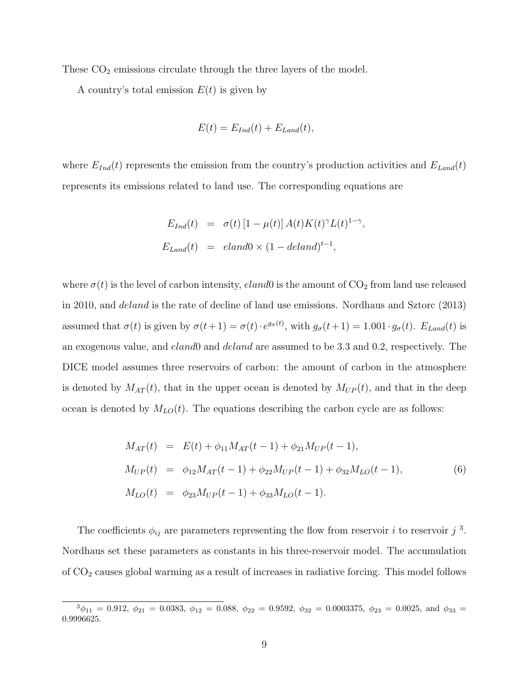These  $CO<sub>2</sub>$  emissions circulate through the three layers of the model.

A country's total emission  $E(t)$  is given by

$$
E(t) = E_{Ind}(t) + E_{Land}(t),
$$

where  $E_{Ind}(t)$  represents the emission from the country's production activities and  $E_{Land}(t)$ represents its emissions related to land use. The corresponding equations are

$$
E_{Ind}(t) = \sigma(t) [1 - \mu(t)] A(t) K(t)^{\gamma} L(t)^{1 - \gamma},
$$
  
\n
$$
E_{Land}(t) = eland0 \times (1 - deland)^{t-1},
$$

where  $\sigma(t)$  is the level of carbon intensity, *eland*0 is the amount of  $CO<sub>2</sub>$  from land use released in 2010, and deland is the rate of decline of land use emissions. Nordhaus and Sztorc (2013) assumed that  $\sigma(t)$  is given by  $\sigma(t+1) = \sigma(t) \cdot e^{g_{\sigma}(t)}$ , with  $g_{\sigma}(t+1) = 1.001 \cdot g_{\sigma}(t)$ .  $E_{Land}(t)$  is an exogenous value, and *eland*0 and *deland* are assumed to be 3.3 and 0.2, respectively. The DICE model assumes three reservoirs of carbon: the amount of carbon in the atmosphere is denoted by  $M_{AT}(t)$ , that in the upper ocean is denoted by  $M_{UP}(t)$ , and that in the deep ocean is denoted by  $M_{LO}(t)$ . The equations describing the carbon cycle are as follows:

$$
M_{AT}(t) = E(t) + \phi_{11} M_{AT}(t-1) + \phi_{21} M_{UP}(t-1),
$$
  
\n
$$
M_{UP}(t) = \phi_{12} M_{AT}(t-1) + \phi_{22} M_{UP}(t-1) + \phi_{32} M_{LO}(t-1),
$$
  
\n
$$
M_{LO}(t) = \phi_{23} M_{UP}(t-1) + \phi_{33} M_{LO}(t-1).
$$
\n(6)

The coefficients  $\phi_{ij}$  are parameters representing the flow from reservoir *i* to reservoir *j*<sup>3</sup>. Nordhaus set these parameters as constants in his three-reservoir model. The accumulation of CO<sup>2</sup> causes global warming as a result of increases in radiative forcing. This model follows

 $\frac{3\phi_{11}}{2} = 0.912, \ \phi_{21} = 0.0383, \ \phi_{12} = 0.088, \ \phi_{22} = 0.9592, \ \phi_{32} = 0.0003375, \ \phi_{23} = 0.0025, \text{ and } \phi_{33} = 0.0025$ 0.9996625.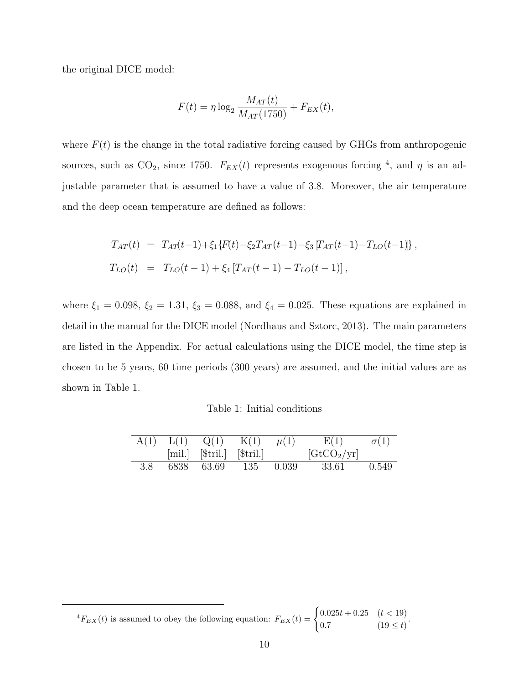the original DICE model:

$$
F(t) = \eta \log_2 \frac{M_{AT}(t)}{M_{AT}(1750)} + F_{EX}(t),
$$

where  $F(t)$  is the change in the total radiative forcing caused by GHGs from anthropogenic sources, such as  $CO_2$ , since 1750.  $F_{EX}(t)$  represents exogenous forcing <sup>4</sup>, and  $\eta$  is an adjustable parameter that is assumed to have a value of 3.8. Moreover, the air temperature and the deep ocean temperature are defined as follows:

$$
T_{AT}(t) = T_{AT}(t-1) + \xi_1 \{F(t) - \xi_2 T_{AT}(t-1) - \xi_3 [T_{AT}(t-1) - T_{LO}(t-1)]\},
$$
  
\n
$$
T_{LO}(t) = T_{LO}(t-1) + \xi_4 [T_{AT}(t-1) - T_{LO}(t-1)],
$$

where  $\xi_1 = 0.098, \xi_2 = 1.31, \xi_3 = 0.088, \text{ and } \xi_4 = 0.025.$  These equations are explained in detail in the manual for the DICE model (Nordhaus and Sztorc, 2013). The main parameters are listed in the Appendix. For actual calculations using the DICE model, the time step is chosen to be 5 years, 60 time periods (300 years) are assumed, and the initial values are as shown in Table 1.

|     |            | $A(1)$ $L(1)$ $Q(1)$ $K(1)$ $\mu(1)$             | E(1)                        | $\sigma(1)$ |
|-----|------------|--------------------------------------------------|-----------------------------|-------------|
|     |            | ${\min}$ ${\text{[Stril.]}}$ ${\text{[Stril.]}}$ | $[\text{GtCO}_2/\text{yr}]$ |             |
| 3.8 | 6838 63.69 | 135 0.039                                        | 33.61                       | 0.549       |

 ${}^{4}F_{EX}(t)$  is assumed to obey the following equation:  $F_{EX}(t) = \begin{cases} 0.025t + 0.25 & (t < 19) \\ 0.7 & (19 \le t) \end{cases}$  $0.7$   $(19 \le t)$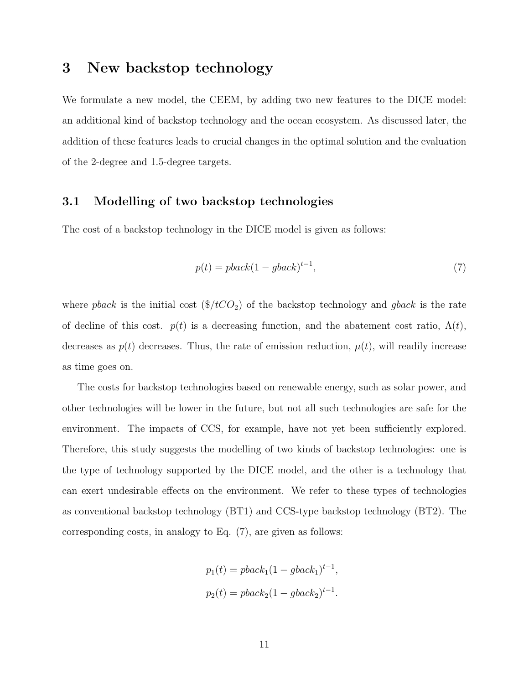### 3 New backstop technology

We formulate a new model, the CEEM, by adding two new features to the DICE model: an additional kind of backstop technology and the ocean ecosystem. As discussed later, the addition of these features leads to crucial changes in the optimal solution and the evaluation of the 2-degree and 1.5-degree targets.

#### 3.1 Modelling of two backstop technologies

The cost of a backstop technology in the DICE model is given as follows:

$$
p(t) = pback(1 - ghost)^{t-1},\tag{7}
$$

where pback is the initial cost  $(\frac{8}{t}CO_2)$  of the backstop technology and gback is the rate of decline of this cost.  $p(t)$  is a decreasing function, and the abatement cost ratio,  $\Lambda(t)$ , decreases as  $p(t)$  decreases. Thus, the rate of emission reduction,  $\mu(t)$ , will readily increase as time goes on.

The costs for backstop technologies based on renewable energy, such as solar power, and other technologies will be lower in the future, but not all such technologies are safe for the environment. The impacts of CCS, for example, have not yet been sufficiently explored. Therefore, this study suggests the modelling of two kinds of backstop technologies: one is the type of technology supported by the DICE model, and the other is a technology that can exert undesirable effects on the environment. We refer to these types of technologies as conventional backstop technology (BT1) and CCS-type backstop technology (BT2). The corresponding costs, in analogy to Eq. (7), are given as follows:

$$
p_1(t) = pback_1(1 - ghost_1)^{t-1},
$$
  

$$
p_2(t) = pback_2(1 - ghost_2)^{t-1}.
$$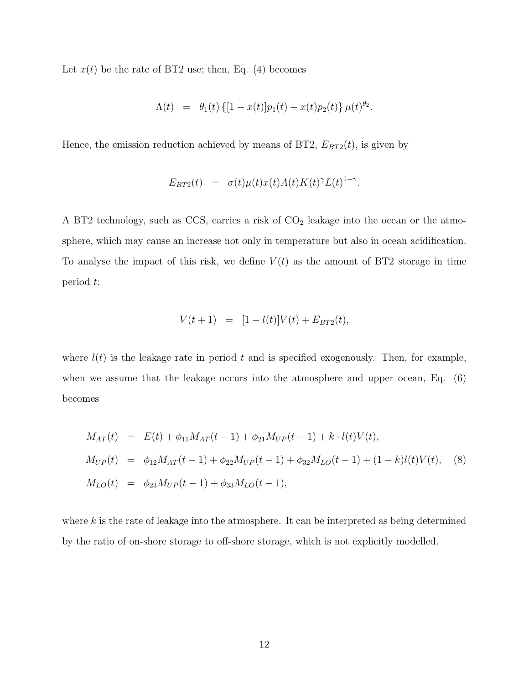Let  $x(t)$  be the rate of BT2 use; then, Eq. (4) becomes

$$
\Lambda(t) = \theta_1(t) \left\{ [1 - x(t)] p_1(t) + x(t) p_2(t) \right\} \mu(t)^{\theta_2}.
$$

Hence, the emission reduction achieved by means of BT2,  $E_{BT2}(t)$ , is given by

$$
E_{BT2}(t) = \sigma(t)\mu(t)x(t)A(t)K(t)^{\gamma}L(t)^{1-\gamma}.
$$

A BT2 technology, such as CCS, carries a risk of  $CO<sub>2</sub>$  leakage into the ocean or the atmosphere, which may cause an increase not only in temperature but also in ocean acidification. To analyse the impact of this risk, we define  $V(t)$  as the amount of BT2 storage in time period t:

$$
V(t+1) = [1 - l(t)]V(t) + E_{BT2}(t),
$$

where  $l(t)$  is the leakage rate in period t and is specified exogenously. Then, for example, when we assume that the leakage occurs into the atmosphere and upper ocean, Eq.  $(6)$ becomes

$$
M_{AT}(t) = E(t) + \phi_{11} M_{AT}(t-1) + \phi_{21} M_{UP}(t-1) + k \cdot l(t) V(t),
$$
  
\n
$$
M_{UP}(t) = \phi_{12} M_{AT}(t-1) + \phi_{22} M_{UP}(t-1) + \phi_{32} M_{LO}(t-1) + (1-k) l(t) V(t),
$$
\n(8)  
\n
$$
M_{LO}(t) = \phi_{23} M_{UP}(t-1) + \phi_{33} M_{LO}(t-1),
$$

where  $k$  is the rate of leakage into the atmosphere. It can be interpreted as being determined by the ratio of on-shore storage to off-shore storage, which is not explicitly modelled.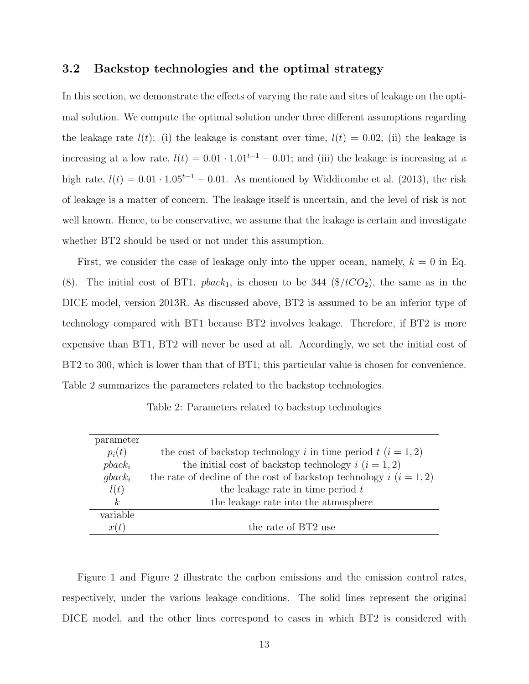#### 3.2 Backstop technologies and the optimal strategy

In this section, we demonstrate the effects of varying the rate and sites of leakage on the optimal solution. We compute the optimal solution under three different assumptions regarding the leakage rate  $l(t)$ : (i) the leakage is constant over time,  $l(t) = 0.02$ ; (ii) the leakage is increasing at a low rate,  $l(t) = 0.01 \cdot 1.01^{t-1} - 0.01$ ; and (iii) the leakage is increasing at a high rate,  $l(t) = 0.01 \cdot 1.05^{t-1} - 0.01$ . As mentioned by Widdicombe et al. (2013), the risk of leakage is a matter of concern. The leakage itself is uncertain, and the level of risk is not well known. Hence, to be conservative, we assume that the leakage is certain and investigate whether BT2 should be used or not under this assumption.

First, we consider the case of leakage only into the upper ocean, namely,  $k = 0$  in Eq. (8). The initial cost of BT1,  $plack_1$ , is chosen to be 344 (\$/ $tCO_2$ ), the same as in the DICE model, version 2013R. As discussed above, BT2 is assumed to be an inferior type of technology compared with BT1 because BT2 involves leakage. Therefore, if BT2 is more expensive than BT1, BT2 will never be used at all. Accordingly, we set the initial cost of BT2 to 300, which is lower than that of BT1; this particular value is chosen for convenience. Table 2 summarizes the parameters related to the backstop technologies.

| Table 2: Parameters related to backstop technologies |  |  |  |
|------------------------------------------------------|--|--|--|
|------------------------------------------------------|--|--|--|

| parameter |                                                                         |
|-----------|-------------------------------------------------------------------------|
| $p_i(t)$  | the cost of backstop technology i in time period $t$ $(i = 1, 2)$       |
| $pback_i$ | the initial cost of backstop technology $i$ $(i = 1, 2)$                |
| $qback_i$ | the rate of decline of the cost of backstop technology $i$ $(i = 1, 2)$ |
| l(t)      | the leakage rate in time period $t$                                     |
| k,        | the leakage rate into the atmosphere                                    |
| variable  |                                                                         |
| x(t)      | the rate of BT2 use                                                     |

Figure 1 and Figure 2 illustrate the carbon emissions and the emission control rates, respectively, under the various leakage conditions. The solid lines represent the original DICE model, and the other lines correspond to cases in which BT2 is considered with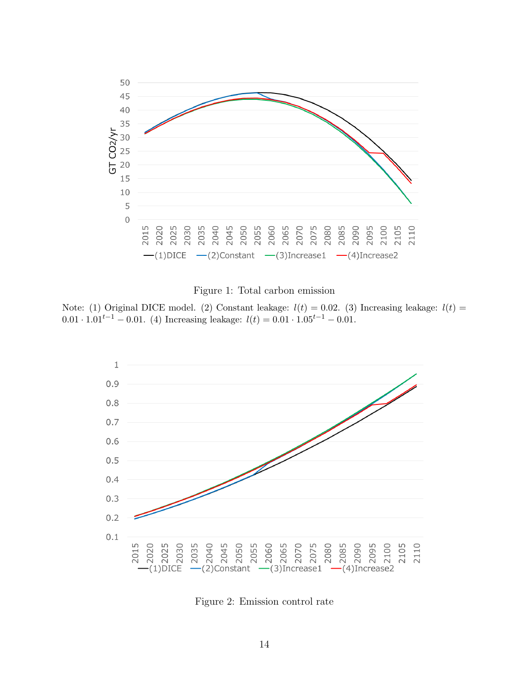

#### Figure 1: Total carbon emission

Note: (1) Original DICE model. (2) Constant leakage:  $l(t) = 0.02$ . (3) Increasing leakage:  $l(t) =$ 0.01 ·  $1.01^{t-1} - 0.01$ . (4) Increasing leakage:  $l(t) = 0.01 \cdot 1.05^{t-1} - 0.01$ .



Figure 2: Emission control rate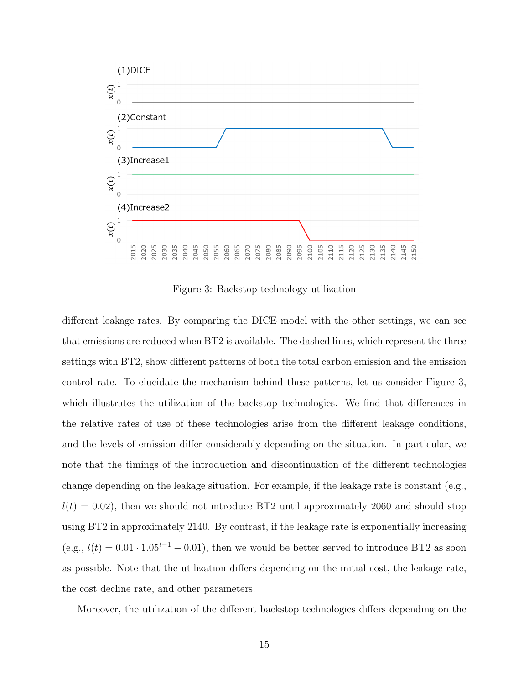

Figure 3: Backstop technology utilization

different leakage rates. By comparing the DICE model with the other settings, we can see that emissions are reduced when BT2 is available. The dashed lines, which represent the three settings with BT2, show different patterns of both the total carbon emission and the emission control rate. To elucidate the mechanism behind these patterns, let us consider Figure 3, which illustrates the utilization of the backstop technologies. We find that differences in the relative rates of use of these technologies arise from the different leakage conditions, and the levels of emission differ considerably depending on the situation. In particular, we note that the timings of the introduction and discontinuation of the different technologies change depending on the leakage situation. For example, if the leakage rate is constant (e.g.,  $l(t) = 0.02$ , then we should not introduce BT2 until approximately 2060 and should stop using BT2 in approximately 2140. By contrast, if the leakage rate is exponentially increasing (e.g.,  $l(t) = 0.01 \cdot 1.05^{t-1} - 0.01$ ), then we would be better served to introduce BT2 as soon as possible. Note that the utilization differs depending on the initial cost, the leakage rate, the cost decline rate, and other parameters.

Moreover, the utilization of the different backstop technologies differs depending on the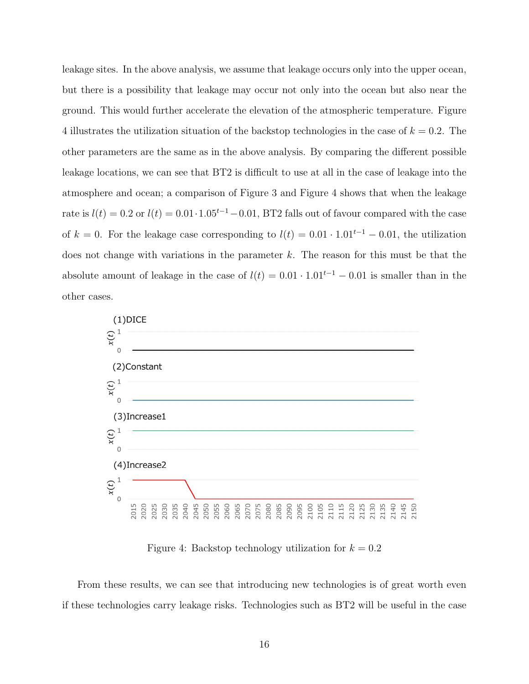leakage sites. In the above analysis, we assume that leakage occurs only into the upper ocean, but there is a possibility that leakage may occur not only into the ocean but also near the ground. This would further accelerate the elevation of the atmospheric temperature. Figure 4 illustrates the utilization situation of the backstop technologies in the case of  $k = 0.2$ . The other parameters are the same as in the above analysis. By comparing the different possible leakage locations, we can see that BT2 is difficult to use at all in the case of leakage into the atmosphere and ocean; a comparison of Figure 3 and Figure 4 shows that when the leakage rate is  $l(t) = 0.2$  or  $l(t) = 0.01 \cdot 1.05^{t-1} - 0.01$ , BT2 falls out of favour compared with the case of k = 0. For the leakage case corresponding to  $l(t) = 0.01 \cdot 1.01^{t-1} - 0.01$ , the utilization does not change with variations in the parameter  $k$ . The reason for this must be that the absolute amount of leakage in the case of  $l(t) = 0.01 \cdot 1.01^{t-1} - 0.01$  is smaller than in the other cases.



Figure 4: Backstop technology utilization for  $k = 0.2$ 

From these results, we can see that introducing new technologies is of great worth even if these technologies carry leakage risks. Technologies such as BT2 will be useful in the case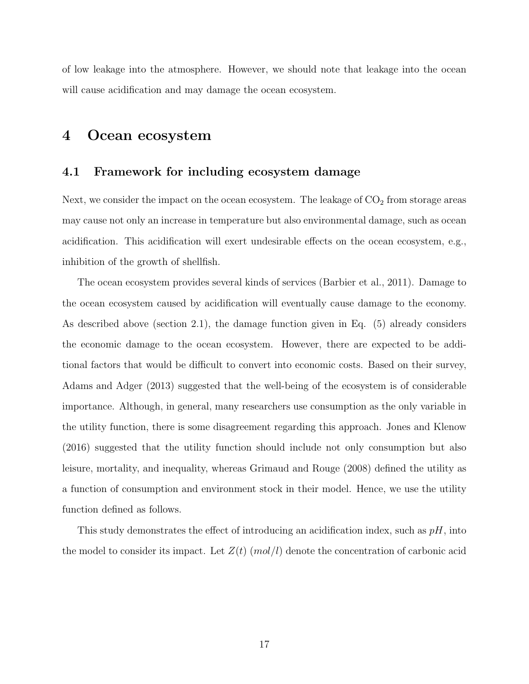of low leakage into the atmosphere. However, we should note that leakage into the ocean will cause acidification and may damage the ocean ecosystem.

### 4 Ocean ecosystem

#### 4.1 Framework for including ecosystem damage

Next, we consider the impact on the ocean ecosystem. The leakage of  $CO<sub>2</sub>$  from storage areas may cause not only an increase in temperature but also environmental damage, such as ocean acidification. This acidification will exert undesirable effects on the ocean ecosystem, e.g., inhibition of the growth of shellfish.

The ocean ecosystem provides several kinds of services (Barbier et al., 2011). Damage to the ocean ecosystem caused by acidification will eventually cause damage to the economy. As described above (section 2.1), the damage function given in Eq. (5) already considers the economic damage to the ocean ecosystem. However, there are expected to be additional factors that would be difficult to convert into economic costs. Based on their survey, Adams and Adger (2013) suggested that the well-being of the ecosystem is of considerable importance. Although, in general, many researchers use consumption as the only variable in the utility function, there is some disagreement regarding this approach. Jones and Klenow (2016) suggested that the utility function should include not only consumption but also leisure, mortality, and inequality, whereas Grimaud and Rouge (2008) defined the utility as a function of consumption and environment stock in their model. Hence, we use the utility function defined as follows.

This study demonstrates the effect of introducing an acidification index, such as  $pH$ , into the model to consider its impact. Let  $Z(t)$  (mol/l) denote the concentration of carbonic acid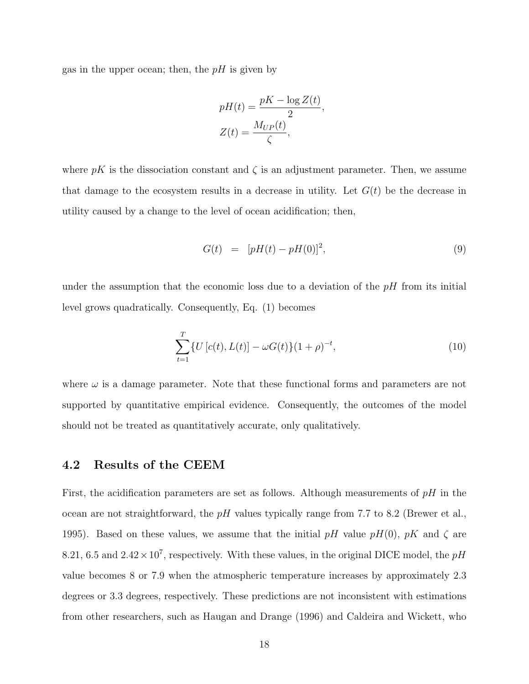gas in the upper ocean; then, the  $pH$  is given by

$$
pH(t) = \frac{pK - \log Z(t)}{2},
$$

$$
Z(t) = \frac{M_{UP}(t)}{\zeta},
$$

where pK is the dissociation constant and  $\zeta$  is an adjustment parameter. Then, we assume that damage to the ecosystem results in a decrease in utility. Let  $G(t)$  be the decrease in utility caused by a change to the level of ocean acidification; then,

$$
G(t) = [pH(t) - pH(0)]^2,
$$
\n(9)

under the assumption that the economic loss due to a deviation of the  $pH$  from its initial level grows quadratically. Consequently, Eq. (1) becomes

$$
\sum_{t=1}^{T} \{ U[c(t), L(t)] - \omega G(t) \} (1+\rho)^{-t}, \tag{10}
$$

where  $\omega$  is a damage parameter. Note that these functional forms and parameters are not supported by quantitative empirical evidence. Consequently, the outcomes of the model should not be treated as quantitatively accurate, only qualitatively.

#### 4.2 Results of the CEEM

First, the acidification parameters are set as follows. Although measurements of  $pH$  in the ocean are not straightforward, the  $pH$  values typically range from 7.7 to 8.2 (Brewer et al., 1995). Based on these values, we assume that the initial pH value pH(0), pK and  $\zeta$  are 8.21, 6.5 and  $2.42 \times 10^7$ , respectively. With these values, in the original DICE model, the pH value becomes 8 or 7.9 when the atmospheric temperature increases by approximately 2.3 degrees or 3.3 degrees, respectively. These predictions are not inconsistent with estimations from other researchers, such as Haugan and Drange (1996) and Caldeira and Wickett, who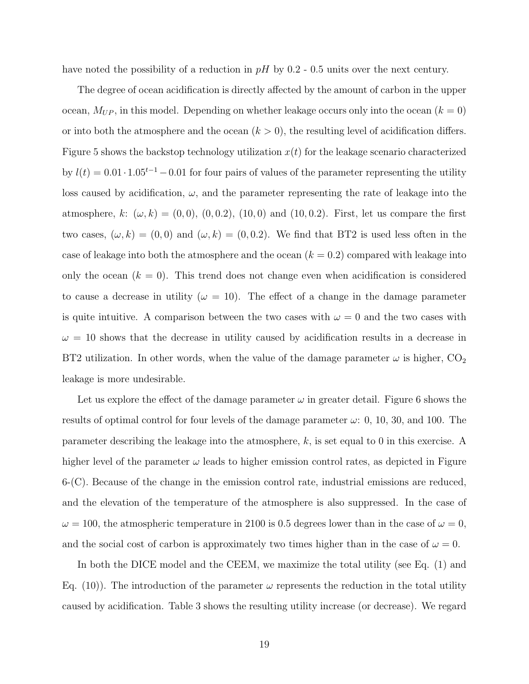have noted the possibility of a reduction in  $pH$  by 0.2 - 0.5 units over the next century.

The degree of ocean acidification is directly affected by the amount of carbon in the upper ocean,  $M_{UP}$ , in this model. Depending on whether leakage occurs only into the ocean  $(k = 0)$ or into both the atmosphere and the ocean  $(k > 0)$ , the resulting level of acidification differs. Figure 5 shows the backstop technology utilization  $x(t)$  for the leakage scenario characterized by  $l(t) = 0.01 \cdot 1.05^{t-1} - 0.01$  for four pairs of values of the parameter representing the utility loss caused by acidification,  $\omega$ , and the parameter representing the rate of leakage into the atmosphere, k:  $(\omega, k) = (0, 0), (0, 0.2), (10, 0)$  and  $(10, 0.2)$ . First, let us compare the first two cases,  $(\omega, k) = (0, 0)$  and  $(\omega, k) = (0, 0.2)$ . We find that BT2 is used less often in the case of leakage into both the atmosphere and the ocean  $(k = 0.2)$  compared with leakage into only the ocean  $(k = 0)$ . This trend does not change even when acidification is considered to cause a decrease in utility ( $\omega = 10$ ). The effect of a change in the damage parameter is quite intuitive. A comparison between the two cases with  $\omega = 0$  and the two cases with  $\omega = 10$  shows that the decrease in utility caused by acidification results in a decrease in BT2 utilization. In other words, when the value of the damage parameter  $\omega$  is higher,  $CO_2$ leakage is more undesirable.

Let us explore the effect of the damage parameter  $\omega$  in greater detail. Figure 6 shows the results of optimal control for four levels of the damage parameter  $\omega$ : 0, 10, 30, and 100. The parameter describing the leakage into the atmosphere, k, is set equal to 0 in this exercise. A higher level of the parameter  $\omega$  leads to higher emission control rates, as depicted in Figure  $6-(C)$ . Because of the change in the emission control rate, industrial emissions are reduced, and the elevation of the temperature of the atmosphere is also suppressed. In the case of  $\omega = 100$ , the atmospheric temperature in 2100 is 0.5 degrees lower than in the case of  $\omega = 0$ , and the social cost of carbon is approximately two times higher than in the case of  $\omega = 0$ .

In both the DICE model and the CEEM, we maximize the total utility (see Eq. (1) and Eq. (10)). The introduction of the parameter  $\omega$  represents the reduction in the total utility caused by acidification. Table 3 shows the resulting utility increase (or decrease). We regard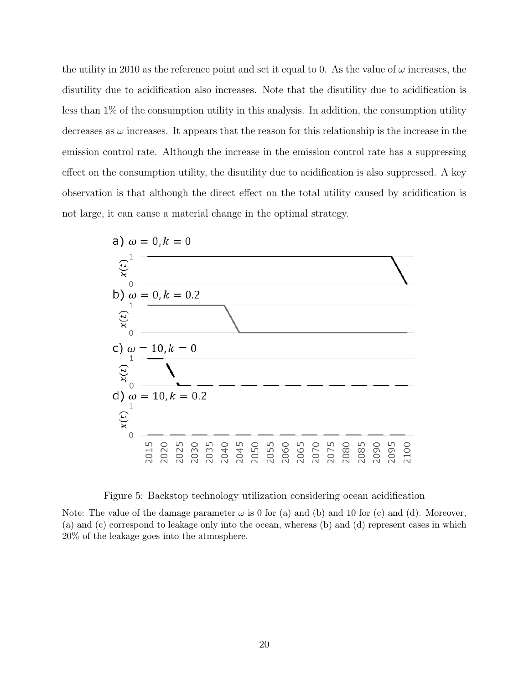the utility in 2010 as the reference point and set it equal to 0. As the value of  $\omega$  increases, the disutility due to acidification also increases. Note that the disutility due to acidification is less than 1% of the consumption utility in this analysis. In addition, the consumption utility decreases as  $\omega$  increases. It appears that the reason for this relationship is the increase in the emission control rate. Although the increase in the emission control rate has a suppressing effect on the consumption utility, the disutility due to acidification is also suppressed. A key observation is that although the direct effect on the total utility caused by acidification is not large, it can cause a material change in the optimal strategy.



Figure 5: Backstop technology utilization considering ocean acidification

Note: The value of the damage parameter  $\omega$  is 0 for (a) and (b) and 10 for (c) and (d). Moreover, (a) and (c) correspond to leakage only into the ocean, whereas (b) and (d) represent cases in which 20% of the leakage goes into the atmosphere.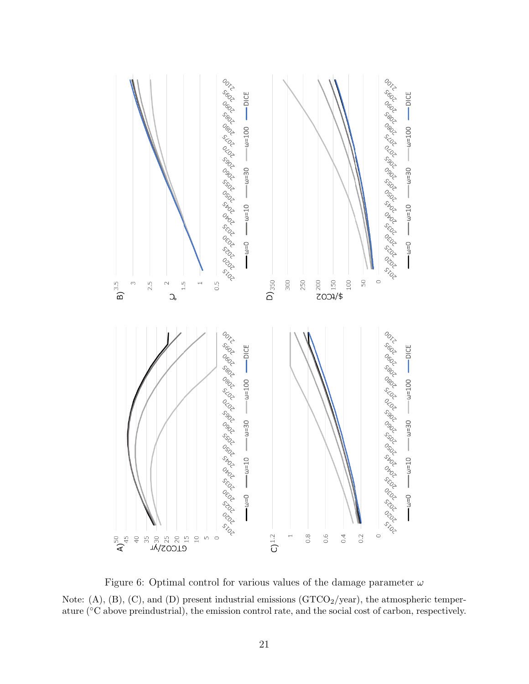

Figure 6: Optimal control for various values of the damage parameter  $\omega$ Note:  $(A)$ ,  $(B)$ ,  $(C)$ , and  $(D)$  present industrial emissions  $(GTCO<sub>2</sub>/year)$ , the atmospheric temperature (◦C above preindustrial), the emission control rate, and the social cost of carbon, respectively.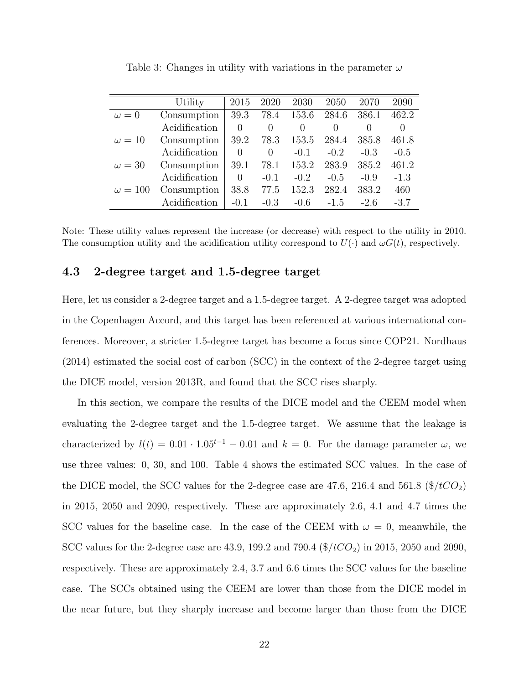|                | Utility       | 2015     | 2020     | 2030   | 2050             | 2070             | 2090   |
|----------------|---------------|----------|----------|--------|------------------|------------------|--------|
| $\omega = 0$   | Consumption   | 39.3     | 78.4     | 153.6  | 284.6            | 386.1            | 462.2  |
|                | Acidification | $\Omega$ | 0        | 0      | $\left( \right)$ | $\left( \right)$ | 0      |
| $\omega = 10$  | Consumption   | 39.2     | 78.3     | 153.5  | 284.4            | 385.8            | 461.8  |
|                | Acidification | $\Omega$ | $\Omega$ | $-0.1$ | $-0.2$           | $-0.3$           | $-0.5$ |
| $\omega = 30$  | Consumption   | 39.1     | 78.1     | 153.2  | 283.9            | 385.2            | 461.2  |
|                | Acidification | $\Omega$ | $-0.1$   | $-0.2$ | $-0.5$           | $-0.9$           | $-1.3$ |
| $\omega = 100$ | Consumption   | 38.8     | 77.5     | 152.3  | 282.4            | 383.2            | 460    |
|                | Acidification | $-0.1$   | $-0.3$   | $-0.6$ | $-1.5$           | $-2.6$           | $-3.7$ |

Table 3: Changes in utility with variations in the parameter  $\omega$ 

Note: These utility values represent the increase (or decrease) with respect to the utility in 2010. The consumption utility and the acidification utility correspond to  $U(\cdot)$  and  $\omega G(t)$ , respectively.

#### 4.3 2-degree target and 1.5-degree target

Here, let us consider a 2-degree target and a 1.5-degree target. A 2-degree target was adopted in the Copenhagen Accord, and this target has been referenced at various international conferences. Moreover, a stricter 1.5-degree target has become a focus since COP21. Nordhaus (2014) estimated the social cost of carbon (SCC) in the context of the 2-degree target using the DICE model, version 2013R, and found that the SCC rises sharply.

In this section, we compare the results of the DICE model and the CEEM model when evaluating the 2-degree target and the 1.5-degree target. We assume that the leakage is characterized by  $l(t) = 0.01 \cdot 1.05^{t-1} - 0.01$  and  $k = 0$ . For the damage parameter  $\omega$ , we use three values: 0, 30, and 100. Table 4 shows the estimated SCC values. In the case of the DICE model, the SCC values for the 2-degree case are 47.6, 216.4 and 561.8  $(\frac{1}{2}tCO_2)$ in 2015, 2050 and 2090, respectively. These are approximately 2.6, 4.1 and 4.7 times the SCC values for the baseline case. In the case of the CEEM with  $\omega = 0$ , meanwhile, the SCC values for the 2-degree case are 43.9, 199.2 and 790.4  $(\frac{4}{\ell}C_2)$  in 2015, 2050 and 2090, respectively. These are approximately 2.4, 3.7 and 6.6 times the SCC values for the baseline case. The SCCs obtained using the CEEM are lower than those from the DICE model in the near future, but they sharply increase and become larger than those from the DICE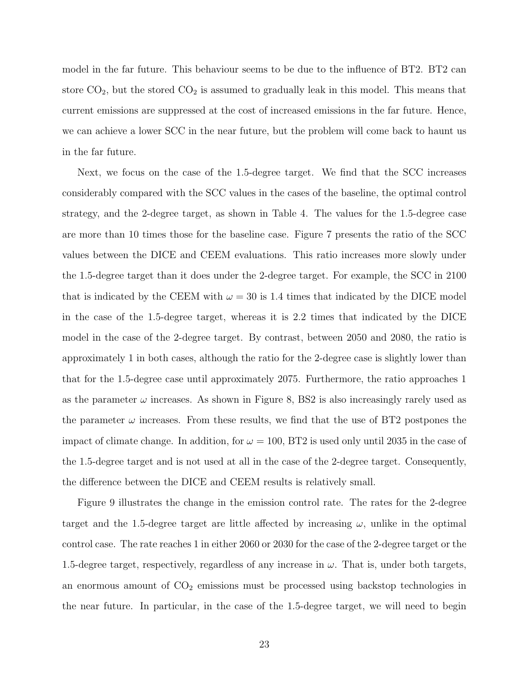model in the far future. This behaviour seems to be due to the influence of BT2. BT2 can store  $CO<sub>2</sub>$ , but the stored  $CO<sub>2</sub>$  is assumed to gradually leak in this model. This means that current emissions are suppressed at the cost of increased emissions in the far future. Hence, we can achieve a lower SCC in the near future, but the problem will come back to haunt us in the far future.

Next, we focus on the case of the 1.5-degree target. We find that the SCC increases considerably compared with the SCC values in the cases of the baseline, the optimal control strategy, and the 2-degree target, as shown in Table 4. The values for the 1.5-degree case are more than 10 times those for the baseline case. Figure 7 presents the ratio of the SCC values between the DICE and CEEM evaluations. This ratio increases more slowly under the 1.5-degree target than it does under the 2-degree target. For example, the SCC in 2100 that is indicated by the CEEM with  $\omega = 30$  is 1.4 times that indicated by the DICE model in the case of the 1.5-degree target, whereas it is 2.2 times that indicated by the DICE model in the case of the 2-degree target. By contrast, between 2050 and 2080, the ratio is approximately 1 in both cases, although the ratio for the 2-degree case is slightly lower than that for the 1.5-degree case until approximately 2075. Furthermore, the ratio approaches 1 as the parameter  $\omega$  increases. As shown in Figure 8, BS2 is also increasingly rarely used as the parameter  $\omega$  increases. From these results, we find that the use of BT2 postpones the impact of climate change. In addition, for  $\omega = 100$ , BT2 is used only until 2035 in the case of the 1.5-degree target and is not used at all in the case of the 2-degree target. Consequently, the difference between the DICE and CEEM results is relatively small.

Figure 9 illustrates the change in the emission control rate. The rates for the 2-degree target and the 1.5-degree target are little affected by increasing  $\omega$ , unlike in the optimal control case. The rate reaches 1 in either 2060 or 2030 for the case of the 2-degree target or the 1.5-degree target, respectively, regardless of any increase in  $\omega$ . That is, under both targets, an enormous amount of  $CO<sub>2</sub>$  emissions must be processed using backstop technologies in the near future. In particular, in the case of the 1.5-degree target, we will need to begin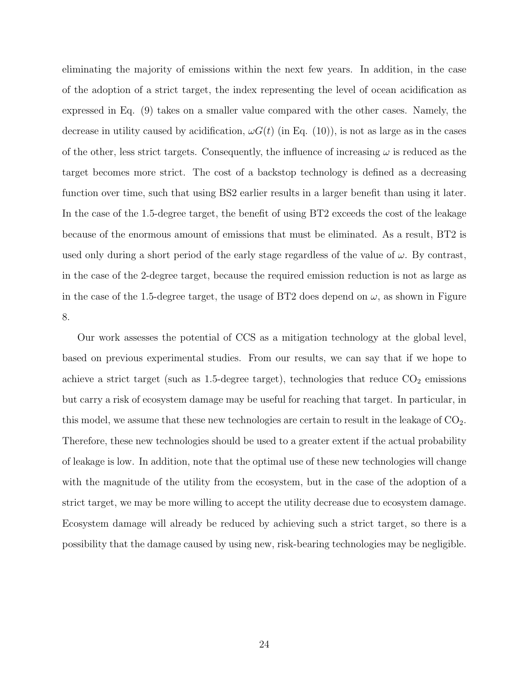eliminating the majority of emissions within the next few years. In addition, in the case of the adoption of a strict target, the index representing the level of ocean acidification as expressed in Eq. (9) takes on a smaller value compared with the other cases. Namely, the decrease in utility caused by acidification,  $\omega G(t)$  (in Eq. (10)), is not as large as in the cases of the other, less strict targets. Consequently, the influence of increasing  $\omega$  is reduced as the target becomes more strict. The cost of a backstop technology is defined as a decreasing function over time, such that using BS2 earlier results in a larger benefit than using it later. In the case of the 1.5-degree target, the benefit of using BT2 exceeds the cost of the leakage because of the enormous amount of emissions that must be eliminated. As a result, BT2 is used only during a short period of the early stage regardless of the value of  $\omega$ . By contrast, in the case of the 2-degree target, because the required emission reduction is not as large as in the case of the 1.5-degree target, the usage of BT2 does depend on  $\omega$ , as shown in Figure 8.

Our work assesses the potential of CCS as a mitigation technology at the global level, based on previous experimental studies. From our results, we can say that if we hope to achieve a strict target (such as 1.5-degree target), technologies that reduce  $CO<sub>2</sub>$  emissions but carry a risk of ecosystem damage may be useful for reaching that target. In particular, in this model, we assume that these new technologies are certain to result in the leakage of  $CO<sub>2</sub>$ . Therefore, these new technologies should be used to a greater extent if the actual probability of leakage is low. In addition, note that the optimal use of these new technologies will change with the magnitude of the utility from the ecosystem, but in the case of the adoption of a strict target, we may be more willing to accept the utility decrease due to ecosystem damage. Ecosystem damage will already be reduced by achieving such a strict target, so there is a possibility that the damage caused by using new, risk-bearing technologies may be negligible.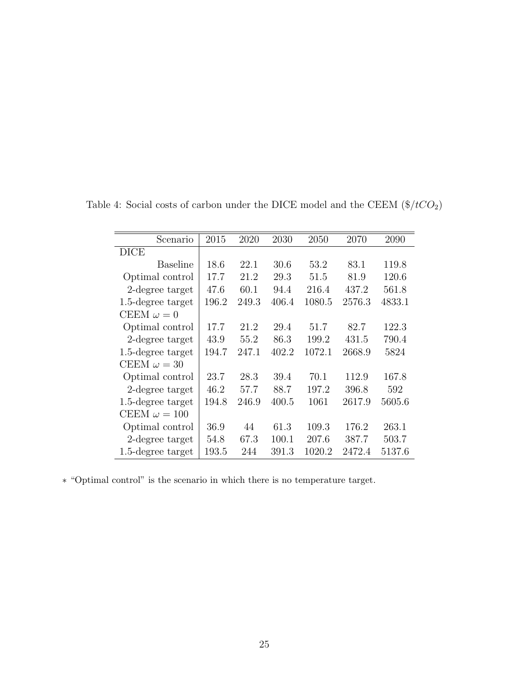| Scenario             | 2015  | 2020  | 2030  | 2050   | 2070   | 2090   |
|----------------------|-------|-------|-------|--------|--------|--------|
| <b>DICE</b>          |       |       |       |        |        |        |
| <b>Baseline</b>      | 18.6  | 22.1  | 30.6  | 53.2   | 83.1   | 119.8  |
| Optimal control      | 17.7  | 21.2  | 29.3  | 51.5   | 81.9   | 120.6  |
| 2-degree target      | 47.6  | 60.1  | 94.4  | 216.4  | 437.2  | 561.8  |
| 1.5-degree target    | 196.2 | 249.3 | 406.4 | 1080.5 | 2576.3 | 4833.1 |
| CEEM $\omega = 0$    |       |       |       |        |        |        |
| Optimal control      | 17.7  | 21.2  | 29.4  | 51.7   | 82.7   | 122.3  |
| 2-degree target      | 43.9  | 55.2  | 86.3  | 199.2  | 431.5  | 790.4  |
| 1.5-degree target    | 194.7 | 247.1 | 402.2 | 1072.1 | 2668.9 | 5824   |
| CEEM $\omega = 30$   |       |       |       |        |        |        |
| Optimal control      | 23.7  | 28.3  | 39.4  | 70.1   | 112.9  | 167.8  |
| 2-degree target      | 46.2  | 57.7  | 88.7  | 197.2  | 396.8  | 592    |
| 1.5-degree target    | 194.8 | 246.9 | 400.5 | 1061   | 2617.9 | 5605.6 |
| CEEM $\omega = 100$  |       |       |       |        |        |        |
| Optimal control      | 36.9  | 44    | 61.3  | 109.3  | 176.2  | 263.1  |
| 2-degree target      | 54.8  | 67.3  | 100.1 | 207.6  | 387.7  | 503.7  |
| $1.5$ -degree target | 193.5 | 244   | 391.3 | 1020.2 | 2472.4 | 5137.6 |

Table 4: Social costs of carbon under the DICE model and the CEEM  $(\$/tCO_2)$ 

∗ "Optimal control" is the scenario in which there is no temperature target.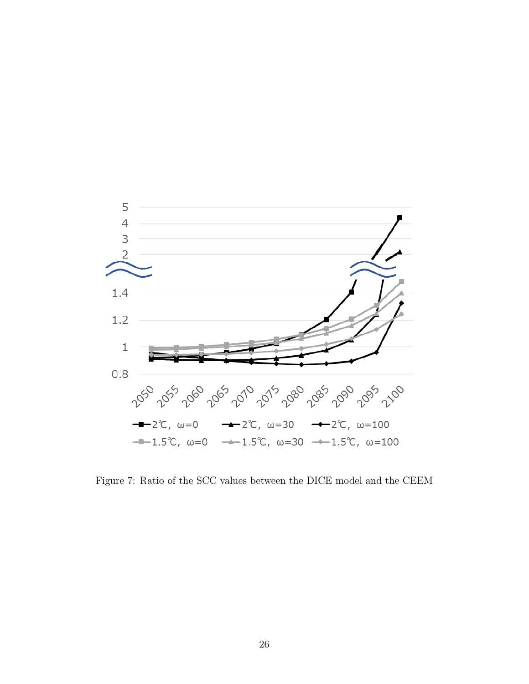

Figure 7: Ratio of the SCC values between the DICE model and the CEEM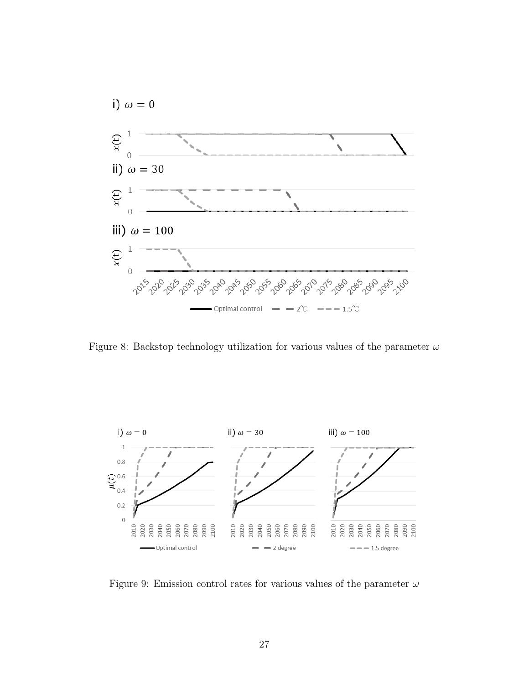

Figure 8: Backstop technology utilization for various values of the parameter  $\omega$ 



Figure 9: Emission control rates for various values of the parameter  $\omega$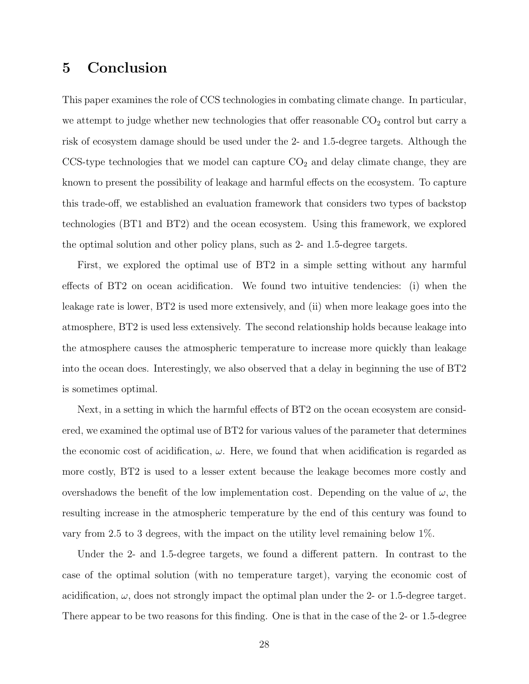### 5 Conclusion

This paper examines the role of CCS technologies in combating climate change. In particular, we attempt to judge whether new technologies that offer reasonable  $CO<sub>2</sub>$  control but carry a risk of ecosystem damage should be used under the 2- and 1.5-degree targets. Although the CCS-type technologies that we model can capture  $CO<sub>2</sub>$  and delay climate change, they are known to present the possibility of leakage and harmful effects on the ecosystem. To capture this trade-off, we established an evaluation framework that considers two types of backstop technologies (BT1 and BT2) and the ocean ecosystem. Using this framework, we explored the optimal solution and other policy plans, such as 2- and 1.5-degree targets.

First, we explored the optimal use of BT2 in a simple setting without any harmful effects of BT2 on ocean acidification. We found two intuitive tendencies: (i) when the leakage rate is lower, BT2 is used more extensively, and (ii) when more leakage goes into the atmosphere, BT2 is used less extensively. The second relationship holds because leakage into the atmosphere causes the atmospheric temperature to increase more quickly than leakage into the ocean does. Interestingly, we also observed that a delay in beginning the use of BT2 is sometimes optimal.

Next, in a setting in which the harmful effects of BT2 on the ocean ecosystem are considered, we examined the optimal use of BT2 for various values of the parameter that determines the economic cost of acidification,  $\omega$ . Here, we found that when acidification is regarded as more costly, BT2 is used to a lesser extent because the leakage becomes more costly and overshadows the benefit of the low implementation cost. Depending on the value of  $\omega$ , the resulting increase in the atmospheric temperature by the end of this century was found to vary from 2.5 to 3 degrees, with the impact on the utility level remaining below 1%.

Under the 2- and 1.5-degree targets, we found a different pattern. In contrast to the case of the optimal solution (with no temperature target), varying the economic cost of acidification,  $\omega$ , does not strongly impact the optimal plan under the 2- or 1.5-degree target. There appear to be two reasons for this finding. One is that in the case of the 2- or 1.5-degree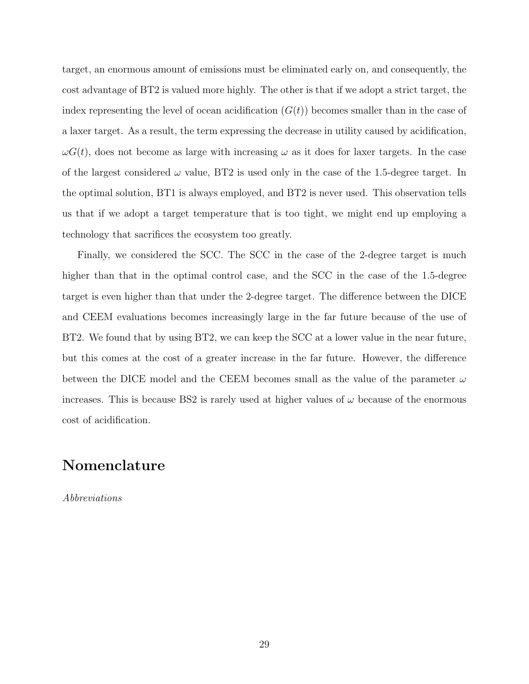target, an enormous amount of emissions must be eliminated early on, and consequently, the cost advantage of BT2 is valued more highly. The other is that if we adopt a strict target, the index representing the level of ocean acidification  $(G(t))$  becomes smaller than in the case of a laxer target. As a result, the term expressing the decrease in utility caused by acidification,  $\omega G(t)$ , does not become as large with increasing  $\omega$  as it does for laxer targets. In the case of the largest considered  $\omega$  value, BT2 is used only in the case of the 1.5-degree target. In the optimal solution, BT1 is always employed, and BT2 is never used. This observation tells us that if we adopt a target temperature that is too tight, we might end up employing a technology that sacrifices the ecosystem too greatly.

Finally, we considered the SCC. The SCC in the case of the 2-degree target is much higher than that in the optimal control case, and the SCC in the case of the 1.5-degree target is even higher than that under the 2-degree target. The difference between the DICE and CEEM evaluations becomes increasingly large in the far future because of the use of BT2. We found that by using BT2, we can keep the SCC at a lower value in the near future, but this comes at the cost of a greater increase in the far future. However, the difference between the DICE model and the CEEM becomes small as the value of the parameter  $\omega$ increases. This is because BS2 is rarely used at higher values of  $\omega$  because of the enormous cost of acidification.

### Nomenclature

Abbreviations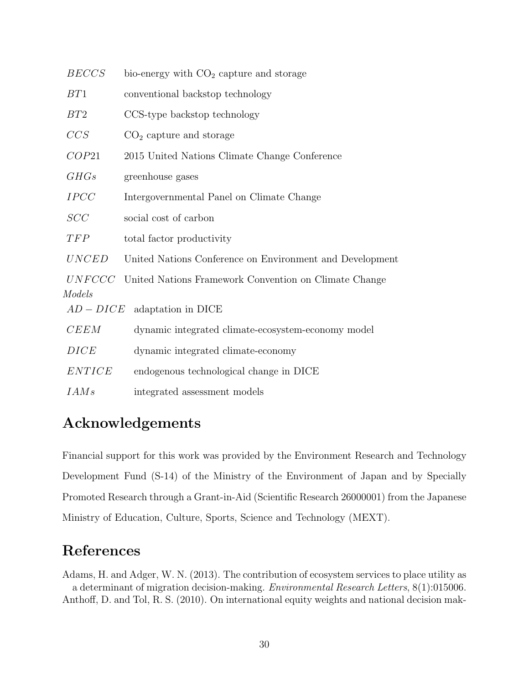| <b>BECCS</b>  | bio-energy with $CO2$ capture and storage                |
|---------------|----------------------------------------------------------|
| BT1           | conventional backstop technology                         |
| BT2           | CCS-type backstop technology                             |
| CCS           | $CO2$ capture and storage                                |
| COP21         | 2015 United Nations Climate Change Conference            |
| GHGs          | greenhouse gases                                         |
| <b>IPCC</b>   | Intergovernmental Panel on Climate Change                |
| SCC           | social cost of carbon                                    |
| TFP           | total factor productivity                                |
| <b>UNCED</b>  | United Nations Conference on Environment and Development |
| UNFCCC        | United Nations Framework Convention on Climate Change    |
| Models        |                                                          |
|               | $AD - DICE$ adaptation in DICE                           |
| CEEM          | dynamic integrated climate-ecosystem-economy model       |
| DICE          | dynamic integrated climate-economy                       |
| <b>ENTICE</b> | endogenous technological change in DICE                  |
| IAMs          | integrated assessment models                             |

### Acknowledgements

Financial support for this work was provided by the Environment Research and Technology Development Fund (S-14) of the Ministry of the Environment of Japan and by Specially Promoted Research through a Grant-in-Aid (Scientific Research 26000001) from the Japanese Ministry of Education, Culture, Sports, Science and Technology (MEXT).

### References

Adams, H. and Adger, W. N. (2013). The contribution of ecosystem services to place utility as a determinant of migration decision-making. Environmental Research Letters, 8(1):015006. Anthoff, D. and Tol, R. S. (2010). On international equity weights and national decision mak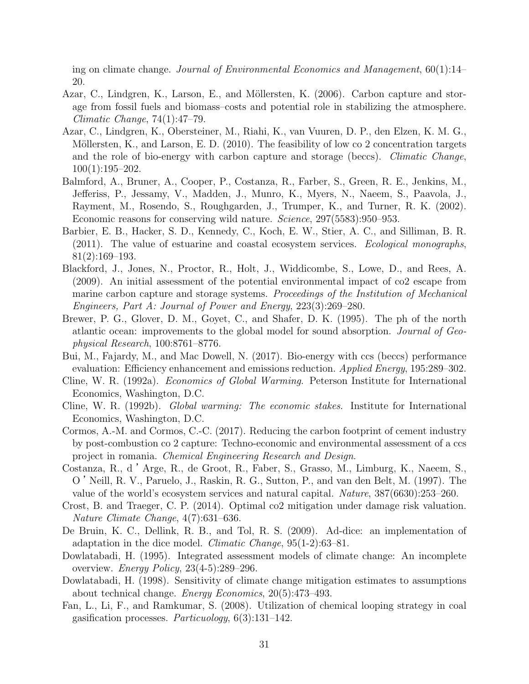ing on climate change. Journal of Environmental Economics and Management, 60(1):14– 20.

- Azar, C., Lindgren, K., Larson, E., and Möllersten, K. (2006). Carbon capture and storage from fossil fuels and biomass–costs and potential role in stabilizing the atmosphere. Climatic Change, 74(1):47–79.
- Azar, C., Lindgren, K., Obersteiner, M., Riahi, K., van Vuuren, D. P., den Elzen, K. M. G., Möllersten, K., and Larson, E. D.  $(2010)$ . The feasibility of low co 2 concentration targets and the role of bio-energy with carbon capture and storage (beccs). Climatic Change, 100(1):195–202.
- Balmford, A., Bruner, A., Cooper, P., Costanza, R., Farber, S., Green, R. E., Jenkins, M., Jefferiss, P., Jessamy, V., Madden, J., Munro, K., Myers, N., Naeem, S., Paavola, J., Rayment, M., Rosendo, S., Roughgarden, J., Trumper, K., and Turner, R. K. (2002). Economic reasons for conserving wild nature. Science, 297(5583):950–953.
- Barbier, E. B., Hacker, S. D., Kennedy, C., Koch, E. W., Stier, A. C., and Silliman, B. R. (2011). The value of estuarine and coastal ecosystem services. Ecological monographs, 81(2):169–193.
- Blackford, J., Jones, N., Proctor, R., Holt, J., Widdicombe, S., Lowe, D., and Rees, A. (2009). An initial assessment of the potential environmental impact of co2 escape from marine carbon capture and storage systems. Proceedings of the Institution of Mechanical Engineers, Part A: Journal of Power and Energy, 223(3):269–280.
- Brewer, P. G., Glover, D. M., Goyet, C., and Shafer, D. K. (1995). The ph of the north atlantic ocean: improvements to the global model for sound absorption. Journal of Geophysical Research, 100:8761–8776.
- Bui, M., Fajardy, M., and Mac Dowell, N. (2017). Bio-energy with ccs (beccs) performance evaluation: Efficiency enhancement and emissions reduction. Applied Energy, 195:289–302.
- Cline, W. R. (1992a). Economics of Global Warming. Peterson Institute for International Economics, Washington, D.C.
- Cline, W. R. (1992b). Global warming: The economic stakes. Institute for International Economics, Washington, D.C.
- Cormos, A.-M. and Cormos, C.-C. (2017). Reducing the carbon footprint of cement industry by post-combustion co 2 capture: Techno-economic and environmental assessment of a ccs project in romania. Chemical Engineering Research and Design.
- Costanza, R., d 'Arge, R., de Groot, R., Faber, S., Grasso, M., Limburg, K., Naeem, S., O 'Neill, R. V., Paruelo, J., Raskin, R. G., Sutton, P., and van den Belt, M. (1997). The value of the world's ecosystem services and natural capital. Nature, 387(6630):253–260.
- Crost, B. and Traeger, C. P. (2014). Optimal co2 mitigation under damage risk valuation. Nature Climate Change, 4(7):631–636.
- De Bruin, K. C., Dellink, R. B., and Tol, R. S. (2009). Ad-dice: an implementation of adaptation in the dice model. Climatic Change, 95(1-2):63–81.
- Dowlatabadi, H. (1995). Integrated assessment models of climate change: An incomplete overview. *Energy Policy*,  $23(4-5):289-296$ .
- Dowlatabadi, H. (1998). Sensitivity of climate change mitigation estimates to assumptions about technical change. Energy Economics, 20(5):473–493.
- Fan, L., Li, F., and Ramkumar, S. (2008). Utilization of chemical looping strategy in coal gasification processes.  $Particuology$ ,  $6(3):131-142$ .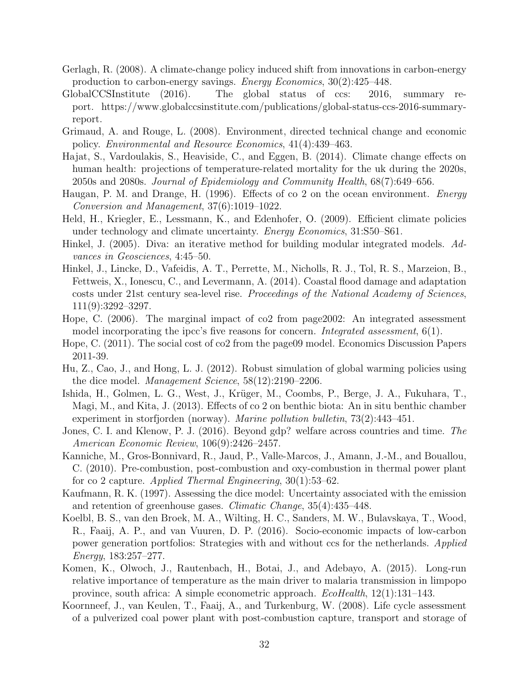- Gerlagh, R. (2008). A climate-change policy induced shift from innovations in carbon-energy production to carbon-energy savings. Energy Economics, 30(2):425–448.
- GlobalCCSInstitute (2016). The global status of ccs: 2016, summary report. https://www.globalccsinstitute.com/publications/global-status-ccs-2016-summaryreport.
- Grimaud, A. and Rouge, L. (2008). Environment, directed technical change and economic policy. Environmental and Resource Economics, 41(4):439–463.
- Hajat, S., Vardoulakis, S., Heaviside, C., and Eggen, B. (2014). Climate change effects on human health: projections of temperature-related mortality for the uk during the 2020s, 2050s and 2080s. Journal of Epidemiology and Community Health, 68(7):649–656.
- Haugan, P. M. and Drange, H. (1996). Effects of co 2 on the ocean environment. *Energy* Conversion and Management, 37(6):1019–1022.
- Held, H., Kriegler, E., Lessmann, K., and Edenhofer, O. (2009). Efficient climate policies under technology and climate uncertainty. Energy Economics, 31:S50–S61.
- Hinkel, J. (2005). Diva: an iterative method for building modular integrated models. Advances in Geosciences, 4:45–50.
- Hinkel, J., Lincke, D., Vafeidis, A. T., Perrette, M., Nicholls, R. J., Tol, R. S., Marzeion, B., Fettweis, X., Ionescu, C., and Levermann, A. (2014). Coastal flood damage and adaptation costs under 21st century sea-level rise. Proceedings of the National Academy of Sciences, 111(9):3292–3297.
- Hope, C. (2006). The marginal impact of co2 from page2002: An integrated assessment model incorporating the ipcc's five reasons for concern. *Integrated assessment*, 6(1).
- Hope, C. (2011). The social cost of co2 from the page09 model. Economics Discussion Papers 2011-39.
- Hu, Z., Cao, J., and Hong, L. J. (2012). Robust simulation of global warming policies using the dice model. Management Science, 58(12):2190–2206.
- Ishida, H., Golmen, L. G., West, J., Krüger, M., Coombs, P., Berge, J. A., Fukuhara, T., Magi, M., and Kita, J. (2013). Effects of co 2 on benthic biota: An in situ benthic chamber experiment in storfjorden (norway). Marine pollution bulletin, 73(2):443–451.
- Jones, C. I. and Klenow, P. J. (2016). Beyond gdp? welfare across countries and time. The American Economic Review, 106(9):2426–2457.
- Kanniche, M., Gros-Bonnivard, R., Jaud, P., Valle-Marcos, J., Amann, J.-M., and Bouallou, C. (2010). Pre-combustion, post-combustion and oxy-combustion in thermal power plant for co 2 capture. Applied Thermal Engineering, 30(1):53–62.
- Kaufmann, R. K. (1997). Assessing the dice model: Uncertainty associated with the emission and retention of greenhouse gases. Climatic Change, 35(4):435–448.
- Koelbl, B. S., van den Broek, M. A., Wilting, H. C., Sanders, M. W., Bulavskaya, T., Wood, R., Faaij, A. P., and van Vuuren, D. P. (2016). Socio-economic impacts of low-carbon power generation portfolios: Strategies with and without ccs for the netherlands. Applied Energy, 183:257–277.
- Komen, K., Olwoch, J., Rautenbach, H., Botai, J., and Adebayo, A. (2015). Long-run relative importance of temperature as the main driver to malaria transmission in limpopo province, south africa: A simple econometric approach. EcoHealth, 12(1):131–143.
- Koornneef, J., van Keulen, T., Faaij, A., and Turkenburg, W. (2008). Life cycle assessment of a pulverized coal power plant with post-combustion capture, transport and storage of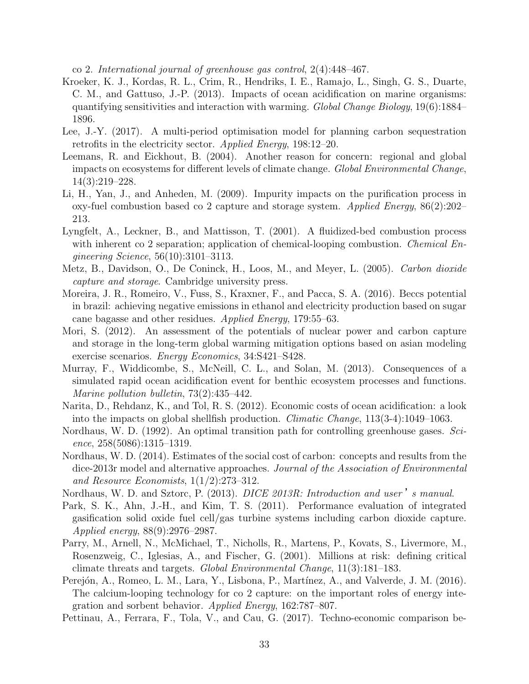co 2. International journal of greenhouse gas control, 2(4):448–467.

- Kroeker, K. J., Kordas, R. L., Crim, R., Hendriks, I. E., Ramajo, L., Singh, G. S., Duarte, C. M., and Gattuso, J.-P. (2013). Impacts of ocean acidification on marine organisms: quantifying sensitivities and interaction with warming. Global Change Biology, 19(6):1884– 1896.
- Lee, J.-Y. (2017). A multi-period optimisation model for planning carbon sequestration retrofits in the electricity sector. Applied Energy, 198:12–20.
- Leemans, R. and Eickhout, B. (2004). Another reason for concern: regional and global impacts on ecosystems for different levels of climate change. Global Environmental Change, 14(3):219–228.
- Li, H., Yan, J., and Anheden, M. (2009). Impurity impacts on the purification process in oxy-fuel combustion based co 2 capture and storage system. Applied Energy, 86(2):202– 213.
- Lyngfelt, A., Leckner, B., and Mattisson, T. (2001). A fluidized-bed combustion process with inherent co 2 separation; application of chemical-looping combustion. *Chemical En*gineering Science, 56(10):3101–3113.
- Metz, B., Davidson, O., De Coninck, H., Loos, M., and Meyer, L. (2005). Carbon dioxide capture and storage. Cambridge university press.
- Moreira, J. R., Romeiro, V., Fuss, S., Kraxner, F., and Pacca, S. A. (2016). Beccs potential in brazil: achieving negative emissions in ethanol and electricity production based on sugar cane bagasse and other residues. Applied Energy, 179:55–63.
- Mori, S. (2012). An assessment of the potentials of nuclear power and carbon capture and storage in the long-term global warming mitigation options based on asian modeling exercise scenarios. Energy Economics, 34:S421–S428.
- Murray, F., Widdicombe, S., McNeill, C. L., and Solan, M. (2013). Consequences of a simulated rapid ocean acidification event for benthic ecosystem processes and functions. Marine pollution bulletin, 73(2):435–442.
- Narita, D., Rehdanz, K., and Tol, R. S. (2012). Economic costs of ocean acidification: a look into the impacts on global shellfish production. Climatic Change, 113(3-4):1049–1063.
- Nordhaus, W. D. (1992). An optimal transition path for controlling greenhouse gases. Science, 258(5086):1315–1319.
- Nordhaus, W. D. (2014). Estimates of the social cost of carbon: concepts and results from the dice-2013r model and alternative approaches. Journal of the Association of Environmental and Resource Economists, 1(1/2):273–312.
- Nordhaus, W. D. and Sztorc, P. (2013). DICE 2013R: Introduction and user's manual.
- Park, S. K., Ahn, J.-H., and Kim, T. S. (2011). Performance evaluation of integrated gasification solid oxide fuel cell/gas turbine systems including carbon dioxide capture. Applied energy, 88(9):2976–2987.
- Parry, M., Arnell, N., McMichael, T., Nicholls, R., Martens, P., Kovats, S., Livermore, M., Rosenzweig, C., Iglesias, A., and Fischer, G. (2001). Millions at risk: defining critical climate threats and targets. Global Environmental Change, 11(3):181–183.
- Perejón, A., Romeo, L. M., Lara, Y., Lisbona, P., Martínez, A., and Valverde, J. M. (2016). The calcium-looping technology for co 2 capture: on the important roles of energy integration and sorbent behavior. Applied Energy, 162:787–807.
- Pettinau, A., Ferrara, F., Tola, V., and Cau, G. (2017). Techno-economic comparison be-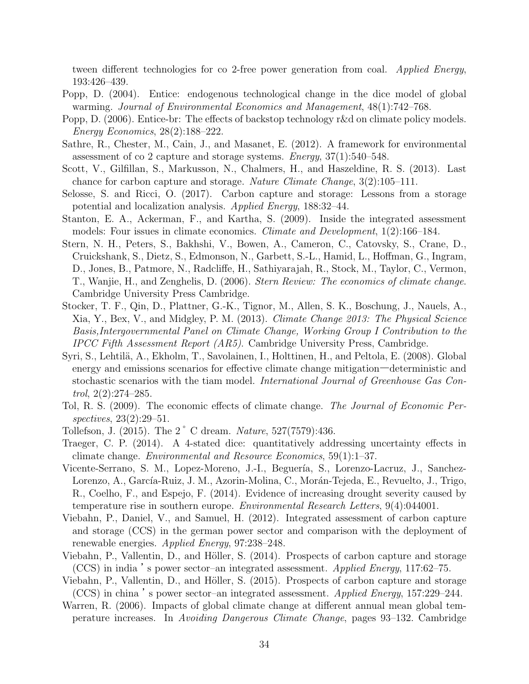tween different technologies for co 2-free power generation from coal. Applied Energy, 193:426–439.

- Popp, D. (2004). Entice: endogenous technological change in the dice model of global warming. Journal of Environmental Economics and Management, 48(1):742–768.
- Popp, D. (2006). Entice-br: The effects of backstop technology r&d on climate policy models. Energy Economics, 28(2):188–222.
- Sathre, R., Chester, M., Cain, J., and Masanet, E. (2012). A framework for environmental assessment of co 2 capture and storage systems. *Energy*,  $37(1)$ :  $540-548$ .
- Scott, V., Gilfillan, S., Markusson, N., Chalmers, H., and Haszeldine, R. S. (2013). Last chance for carbon capture and storage. Nature Climate Change, 3(2):105–111.
- Selosse, S. and Ricci, O. (2017). Carbon capture and storage: Lessons from a storage potential and localization analysis. Applied Energy, 188:32–44.
- Stanton, E. A., Ackerman, F., and Kartha, S. (2009). Inside the integrated assessment models: Four issues in climate economics. Climate and Development, 1(2):166–184.
- Stern, N. H., Peters, S., Bakhshi, V., Bowen, A., Cameron, C., Catovsky, S., Crane, D., Cruickshank, S., Dietz, S., Edmonson, N., Garbett, S.-L., Hamid, L., Hoffman, G., Ingram, D., Jones, B., Patmore, N., Radcliffe, H., Sathiyarajah, R., Stock, M., Taylor, C., Vermon, T., Wanjie, H., and Zenghelis, D. (2006). Stern Review: The economics of climate change. Cambridge University Press Cambridge.
- Stocker, T. F., Qin, D., Plattner, G.-K., Tignor, M., Allen, S. K., Boschung, J., Nauels, A., Xia, Y., Bex, V., and Midgley, P. M. (2013). Climate Change 2013: The Physical Science Basis,Intergovernmental Panel on Climate Change, Working Group I Contribution to the IPCC Fifth Assessment Report (AR5). Cambridge University Press, Cambridge.
- Syri, S., Lehtilä, A., Ekholm, T., Savolainen, I., Holttinen, H., and Peltola, E. (2008). Global energy and emissions scenarios for effective climate change mitigation―deterministic and stochastic scenarios with the tiam model. International Journal of Greenhouse Gas Control,  $2(2):274-285$ .
- Tol, R. S. (2009). The economic effects of climate change. The Journal of Economic Perspectives, 23(2):29–51.
- Tollefson, J. (2015). The 2  $\degree$  C dream. *Nature*, 527(7579):436.
- Traeger, C. P. (2014). A 4-stated dice: quantitatively addressing uncertainty effects in climate change. Environmental and Resource Economics, 59(1):1–37.
- Vicente-Serrano, S. M., Lopez-Moreno, J.-I., Beguería, S., Lorenzo-Lacruz, J., Sanchez-Lorenzo, A., García-Ruiz, J. M., Azorin-Molina, C., Morán-Tejeda, E., Revuelto, J., Trigo, R., Coelho, F., and Espejo, F. (2014). Evidence of increasing drought severity caused by temperature rise in southern europe. Environmental Research Letters, 9(4):044001.
- Viebahn, P., Daniel, V., and Samuel, H. (2012). Integrated assessment of carbon capture and storage (CCS) in the german power sector and comparison with the deployment of renewable energies. Applied Energy, 97:238–248.
- Viebahn, P., Vallentin, D., and Höller, S. (2014). Prospects of carbon capture and storage (CCS) in india 's power sector–an integrated assessment. Applied Energy, 117:62–75.
- Viebahn, P., Vallentin, D., and Höller, S. (2015). Prospects of carbon capture and storage (CCS) in china 's power sector–an integrated assessment. Applied Energy, 157:229–244.
- Warren, R. (2006). Impacts of global climate change at different annual mean global temperature increases. In Avoiding Dangerous Climate Change, pages 93–132. Cambridge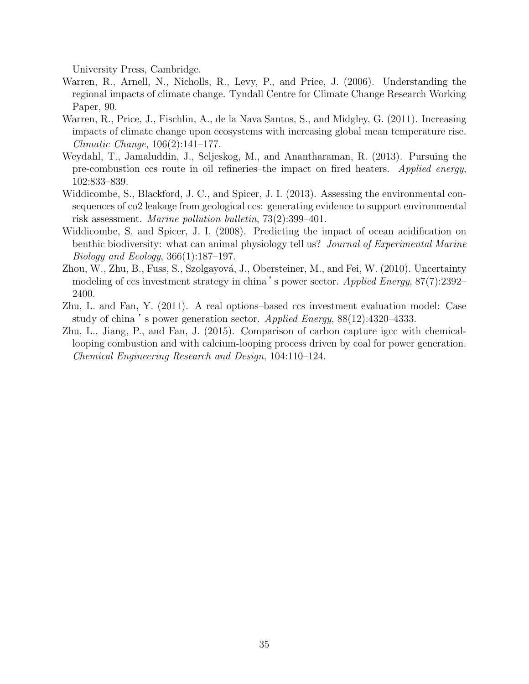University Press, Cambridge.

- Warren, R., Arnell, N., Nicholls, R., Levy, P., and Price, J. (2006). Understanding the regional impacts of climate change. Tyndall Centre for Climate Change Research Working Paper, 90.
- Warren, R., Price, J., Fischlin, A., de la Nava Santos, S., and Midgley, G. (2011). Increasing impacts of climate change upon ecosystems with increasing global mean temperature rise. Climatic Change, 106(2):141–177.
- Weydahl, T., Jamaluddin, J., Seljeskog, M., and Anantharaman, R. (2013). Pursuing the pre-combustion ccs route in oil refineries–the impact on fired heaters. Applied energy, 102:833–839.
- Widdicombe, S., Blackford, J. C., and Spicer, J. I. (2013). Assessing the environmental consequences of co2 leakage from geological ccs: generating evidence to support environmental risk assessment. Marine pollution bulletin, 73(2):399–401.
- Widdicombe, S. and Spicer, J. I. (2008). Predicting the impact of ocean acidification on benthic biodiversity: what can animal physiology tell us? Journal of Experimental Marine Biology and Ecology, 366(1):187–197.
- Zhou, W., Zhu, B., Fuss, S., Szolgayová, J., Obersteiner, M., and Fei, W. (2010). Uncertainty modeling of ccs investment strategy in china 's power sector. Applied Energy, 87(7):2392– 2400.
- Zhu, L. and Fan, Y. (2011). A real options–based ccs investment evaluation model: Case study of china's power generation sector. Applied Energy,  $88(12):4320-4333$ .
- Zhu, L., Jiang, P., and Fan, J. (2015). Comparison of carbon capture igcc with chemicallooping combustion and with calcium-looping process driven by coal for power generation. Chemical Engineering Research and Design, 104:110–124.